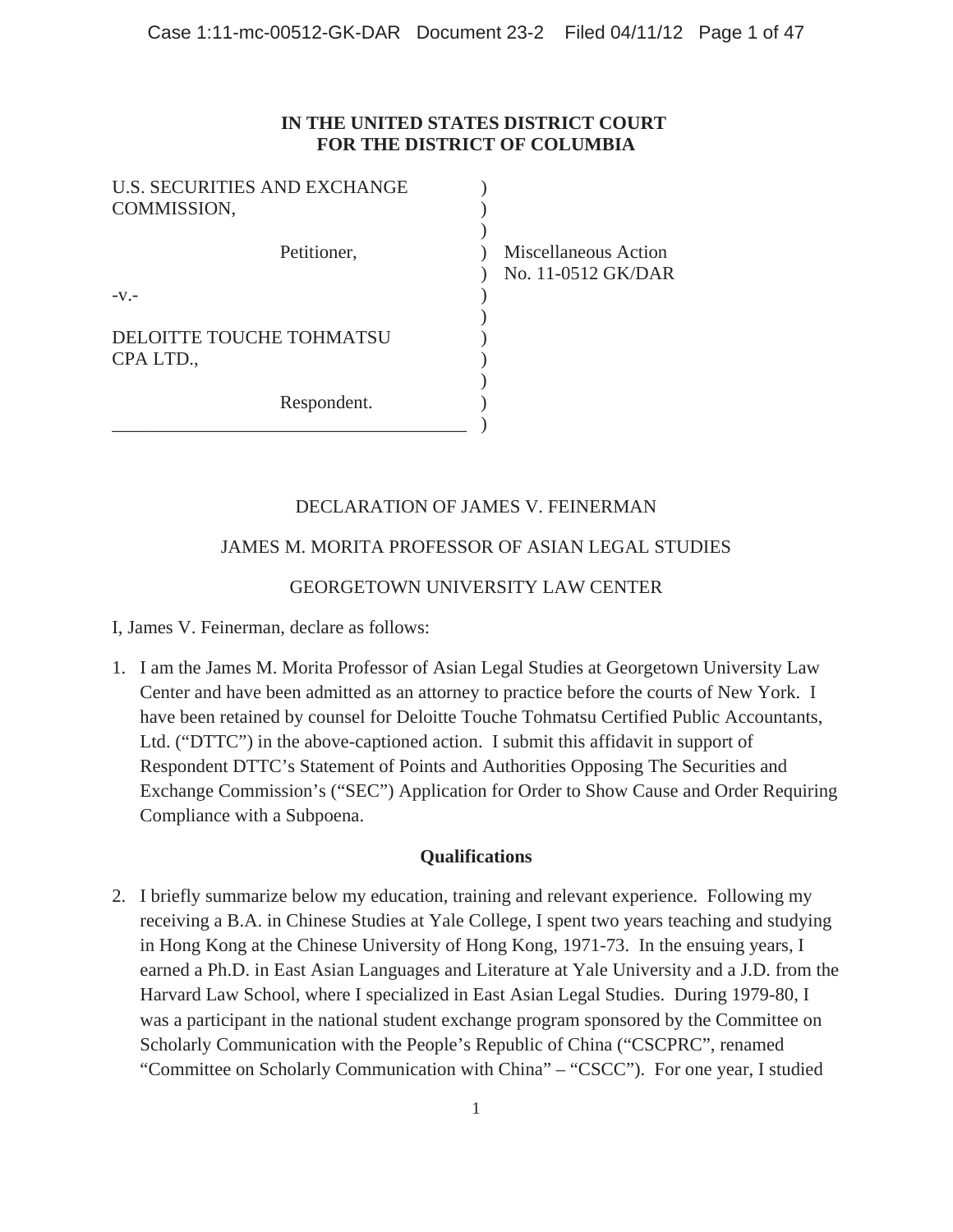## **IN THE UNITED STATES DISTRICT COURT FOR THE DISTRICT OF COLUMBIA**

| <b>U.S. SECURITIES AND EXCHANGE</b><br>COMMISSION, |                                            |
|----------------------------------------------------|--------------------------------------------|
| Petitioner,                                        | Miscellaneous Action<br>No. 11-0512 GK/DAR |
| $-V.$ -<br>DELOITTE TOUCHE TOHMATSU<br>CPA LTD.,   |                                            |
| Respondent.                                        |                                            |

## DECLARATION OF JAMES V. FEINERMAN

## JAMES M. MORITA PROFESSOR OF ASIAN LEGAL STUDIES

## GEORGETOWN UNIVERSITY LAW CENTER

I, James V. Feinerman, declare as follows:

1. I am the James M. Morita Professor of Asian Legal Studies at Georgetown University Law Center and have been admitted as an attorney to practice before the courts of New York. I have been retained by counsel for Deloitte Touche Tohmatsu Certified Public Accountants, Ltd. ("DTTC") in the above-captioned action. I submit this affidavit in support of Respondent DTTC's Statement of Points and Authorities Opposing The Securities and Exchange Commission's ("SEC") Application for Order to Show Cause and Order Requiring Compliance with a Subpoena.

#### **Qualifications**

2. I briefly summarize below my education, training and relevant experience. Following my receiving a B.A. in Chinese Studies at Yale College, I spent two years teaching and studying in Hong Kong at the Chinese University of Hong Kong, 1971-73. In the ensuing years, I earned a Ph.D. in East Asian Languages and Literature at Yale University and a J.D. from the Harvard Law School, where I specialized in East Asian Legal Studies. During 1979-80, I was a participant in the national student exchange program sponsored by the Committee on Scholarly Communication with the People's Republic of China ("CSCPRC", renamed "Committee on Scholarly Communication with China" – "CSCC"). For one year, I studied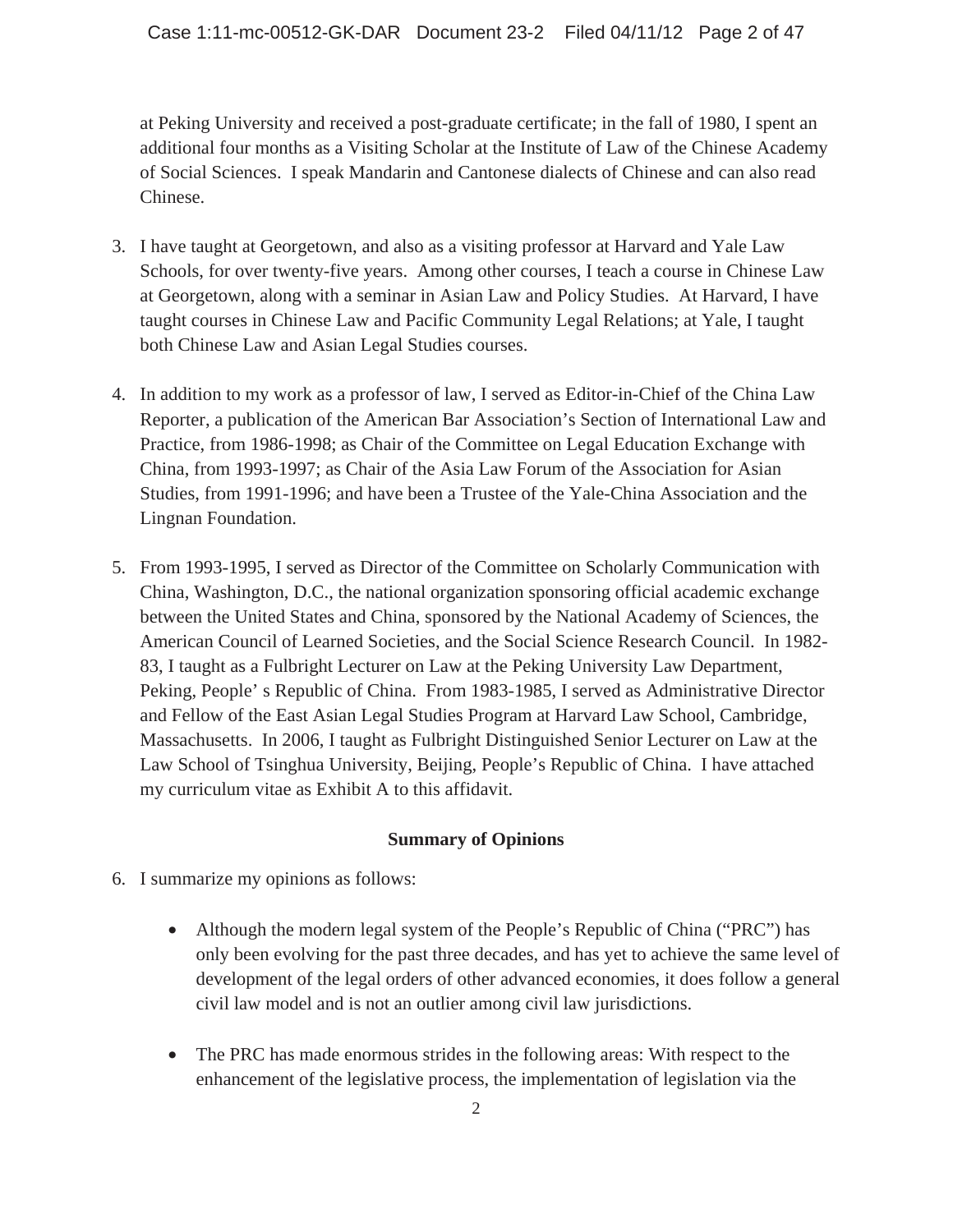at Peking University and received a post-graduate certificate; in the fall of 1980, I spent an additional four months as a Visiting Scholar at the Institute of Law of the Chinese Academy of Social Sciences. I speak Mandarin and Cantonese dialects of Chinese and can also read Chinese.

- 3. I have taught at Georgetown, and also as a visiting professor at Harvard and Yale Law Schools, for over twenty-five years. Among other courses, I teach a course in Chinese Law at Georgetown, along with a seminar in Asian Law and Policy Studies. At Harvard, I have taught courses in Chinese Law and Pacific Community Legal Relations; at Yale, I taught both Chinese Law and Asian Legal Studies courses.
- 4. In addition to my work as a professor of law, I served as Editor-in-Chief of the China Law Reporter, a publication of the American Bar Association's Section of International Law and Practice, from 1986-1998; as Chair of the Committee on Legal Education Exchange with China, from 1993-1997; as Chair of the Asia Law Forum of the Association for Asian Studies, from 1991-1996; and have been a Trustee of the Yale-China Association and the Lingnan Foundation.
- 5. From 1993-1995, I served as Director of the Committee on Scholarly Communication with China, Washington, D.C., the national organization sponsoring official academic exchange between the United States and China, sponsored by the National Academy of Sciences, the American Council of Learned Societies, and the Social Science Research Council. In 1982- 83, I taught as a Fulbright Lecturer on Law at the Peking University Law Department, Peking, People' s Republic of China. From 1983-1985, I served as Administrative Director and Fellow of the East Asian Legal Studies Program at Harvard Law School, Cambridge, Massachusetts. In 2006, I taught as Fulbright Distinguished Senior Lecturer on Law at the Law School of Tsinghua University, Beijing, People's Republic of China. I have attached my curriculum vitae as Exhibit A to this affidavit.

## **Summary of Opinions**

- 6. I summarize my opinions as follows:
	- Although the modern legal system of the People's Republic of China ("PRC") has only been evolving for the past three decades, and has yet to achieve the same level of development of the legal orders of other advanced economies, it does follow a general civil law model and is not an outlier among civil law jurisdictions.
	- The PRC has made enormous strides in the following areas: With respect to the enhancement of the legislative process, the implementation of legislation via the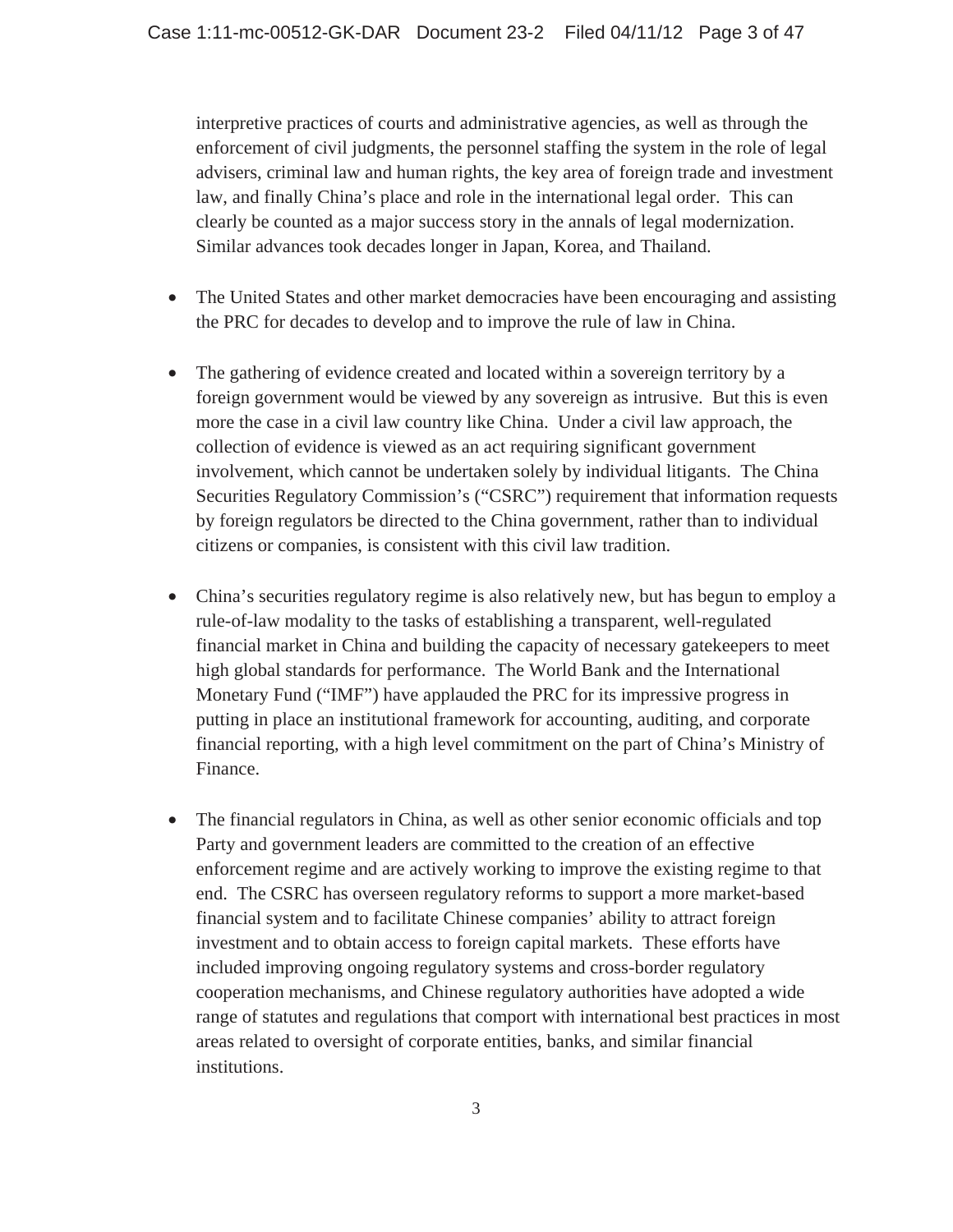interpretive practices of courts and administrative agencies, as well as through the enforcement of civil judgments, the personnel staffing the system in the role of legal advisers, criminal law and human rights, the key area of foreign trade and investment law, and finally China's place and role in the international legal order. This can clearly be counted as a major success story in the annals of legal modernization. Similar advances took decades longer in Japan, Korea, and Thailand.

- The United States and other market democracies have been encouraging and assisting the PRC for decades to develop and to improve the rule of law in China.
- The gathering of evidence created and located within a sovereign territory by a foreign government would be viewed by any sovereign as intrusive. But this is even more the case in a civil law country like China. Under a civil law approach, the collection of evidence is viewed as an act requiring significant government involvement, which cannot be undertaken solely by individual litigants. The China Securities Regulatory Commission's ("CSRC") requirement that information requests by foreign regulators be directed to the China government, rather than to individual citizens or companies, is consistent with this civil law tradition.
- China's securities regulatory regime is also relatively new, but has begun to employ a rule-of-law modality to the tasks of establishing a transparent, well-regulated financial market in China and building the capacity of necessary gatekeepers to meet high global standards for performance. The World Bank and the International Monetary Fund ("IMF") have applauded the PRC for its impressive progress in putting in place an institutional framework for accounting, auditing, and corporate financial reporting, with a high level commitment on the part of China's Ministry of Finance.
- The financial regulators in China, as well as other senior economic officials and top Party and government leaders are committed to the creation of an effective enforcement regime and are actively working to improve the existing regime to that end. The CSRC has overseen regulatory reforms to support a more market-based financial system and to facilitate Chinese companies' ability to attract foreign investment and to obtain access to foreign capital markets. These efforts have included improving ongoing regulatory systems and cross-border regulatory cooperation mechanisms, and Chinese regulatory authorities have adopted a wide range of statutes and regulations that comport with international best practices in most areas related to oversight of corporate entities, banks, and similar financial institutions.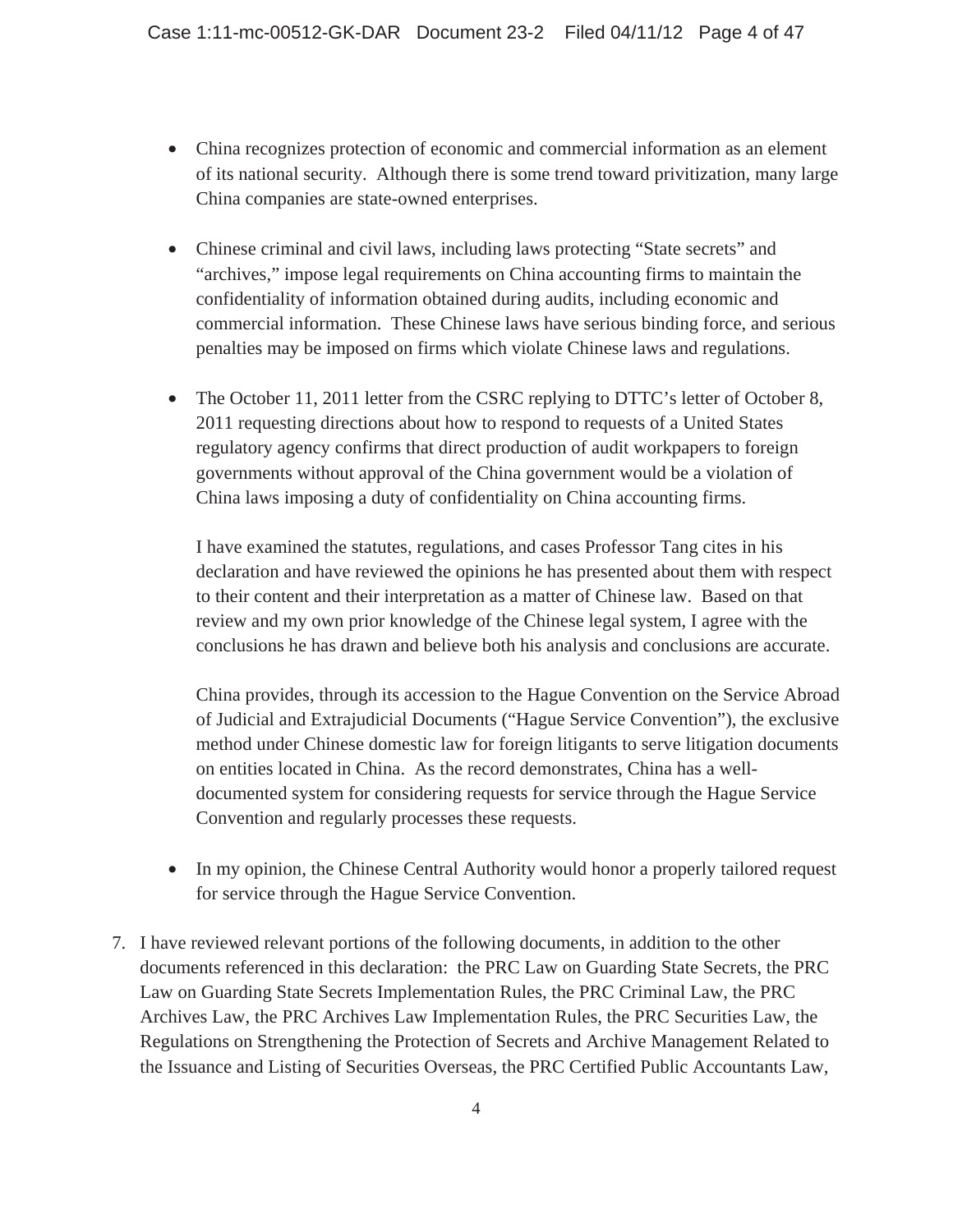- China recognizes protection of economic and commercial information as an element of its national security. Although there is some trend toward privitization, many large China companies are state-owned enterprises.
- Chinese criminal and civil laws, including laws protecting "State secrets" and "archives," impose legal requirements on China accounting firms to maintain the confidentiality of information obtained during audits, including economic and commercial information. These Chinese laws have serious binding force, and serious penalties may be imposed on firms which violate Chinese laws and regulations.
- The October 11, 2011 letter from the CSRC replying to DTTC's letter of October 8, 2011 requesting directions about how to respond to requests of a United States regulatory agency confirms that direct production of audit workpapers to foreign governments without approval of the China government would be a violation of China laws imposing a duty of confidentiality on China accounting firms.

I have examined the statutes, regulations, and cases Professor Tang cites in his declaration and have reviewed the opinions he has presented about them with respect to their content and their interpretation as a matter of Chinese law. Based on that review and my own prior knowledge of the Chinese legal system, I agree with the conclusions he has drawn and believe both his analysis and conclusions are accurate.

China provides, through its accession to the Hague Convention on the Service Abroad of Judicial and Extrajudicial Documents ("Hague Service Convention"), the exclusive method under Chinese domestic law for foreign litigants to serve litigation documents on entities located in China. As the record demonstrates, China has a welldocumented system for considering requests for service through the Hague Service Convention and regularly processes these requests.

- In my opinion, the Chinese Central Authority would honor a properly tailored request for service through the Hague Service Convention.
- 7. I have reviewed relevant portions of the following documents, in addition to the other documents referenced in this declaration: the PRC Law on Guarding State Secrets, the PRC Law on Guarding State Secrets Implementation Rules, the PRC Criminal Law, the PRC Archives Law, the PRC Archives Law Implementation Rules, the PRC Securities Law, the Regulations on Strengthening the Protection of Secrets and Archive Management Related to the Issuance and Listing of Securities Overseas, the PRC Certified Public Accountants Law,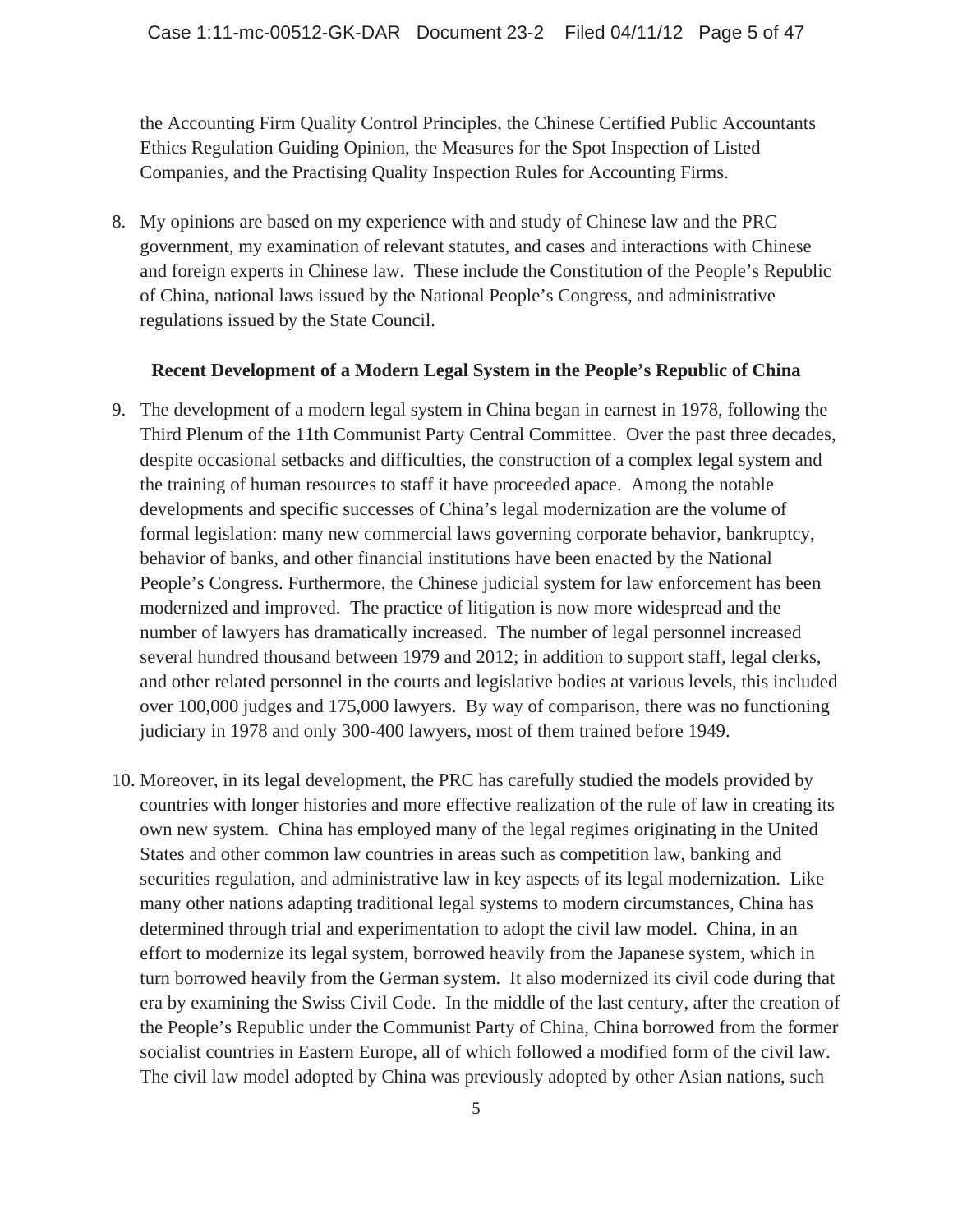the Accounting Firm Quality Control Principles, the Chinese Certified Public Accountants Ethics Regulation Guiding Opinion, the Measures for the Spot Inspection of Listed Companies, and the Practising Quality Inspection Rules for Accounting Firms.

8. My opinions are based on my experience with and study of Chinese law and the PRC government, my examination of relevant statutes, and cases and interactions with Chinese and foreign experts in Chinese law. These include the Constitution of the People's Republic of China, national laws issued by the National People's Congress, and administrative regulations issued by the State Council.

#### **Recent Development of a Modern Legal System in the People's Republic of China**

- 9. The development of a modern legal system in China began in earnest in 1978, following the Third Plenum of the 11th Communist Party Central Committee. Over the past three decades, despite occasional setbacks and difficulties, the construction of a complex legal system and the training of human resources to staff it have proceeded apace. Among the notable developments and specific successes of China's legal modernization are the volume of formal legislation: many new commercial laws governing corporate behavior, bankruptcy, behavior of banks, and other financial institutions have been enacted by the National People's Congress. Furthermore, the Chinese judicial system for law enforcement has been modernized and improved. The practice of litigation is now more widespread and the number of lawyers has dramatically increased. The number of legal personnel increased several hundred thousand between 1979 and 2012; in addition to support staff, legal clerks, and other related personnel in the courts and legislative bodies at various levels, this included over 100,000 judges and 175,000 lawyers. By way of comparison, there was no functioning judiciary in 1978 and only 300-400 lawyers, most of them trained before 1949.
- 10. Moreover, in its legal development, the PRC has carefully studied the models provided by countries with longer histories and more effective realization of the rule of law in creating its own new system. China has employed many of the legal regimes originating in the United States and other common law countries in areas such as competition law, banking and securities regulation, and administrative law in key aspects of its legal modernization. Like many other nations adapting traditional legal systems to modern circumstances, China has determined through trial and experimentation to adopt the civil law model. China, in an effort to modernize its legal system, borrowed heavily from the Japanese system, which in turn borrowed heavily from the German system. It also modernized its civil code during that era by examining the Swiss Civil Code. In the middle of the last century, after the creation of the People's Republic under the Communist Party of China, China borrowed from the former socialist countries in Eastern Europe, all of which followed a modified form of the civil law. The civil law model adopted by China was previously adopted by other Asian nations, such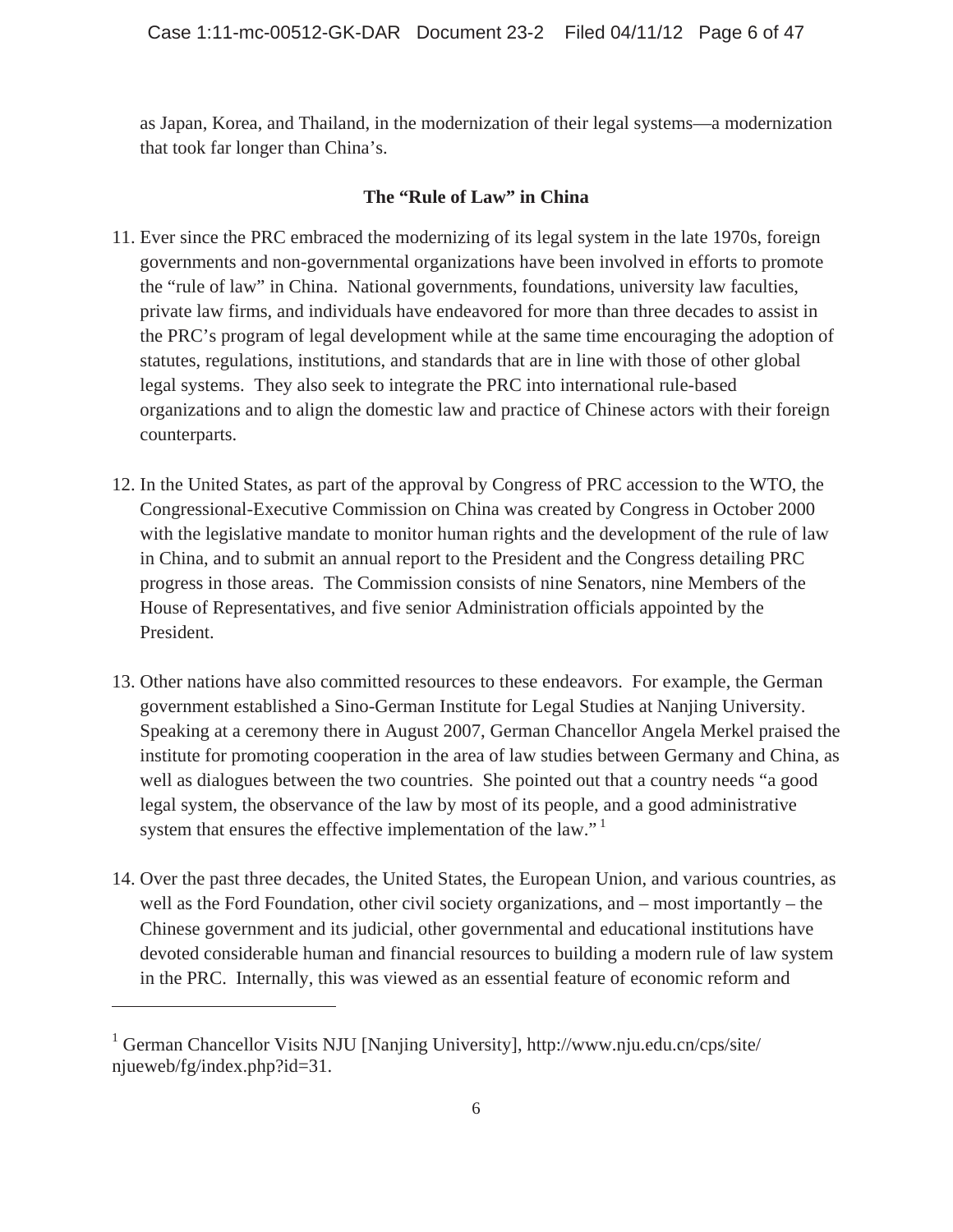as Japan, Korea, and Thailand, in the modernization of their legal systems—a modernization that took far longer than China's.

## **The "Rule of Law" in China**

- 11. Ever since the PRC embraced the modernizing of its legal system in the late 1970s, foreign governments and non-governmental organizations have been involved in efforts to promote the "rule of law" in China. National governments, foundations, university law faculties, private law firms, and individuals have endeavored for more than three decades to assist in the PRC's program of legal development while at the same time encouraging the adoption of statutes, regulations, institutions, and standards that are in line with those of other global legal systems. They also seek to integrate the PRC into international rule-based organizations and to align the domestic law and practice of Chinese actors with their foreign counterparts.
- 12. In the United States, as part of the approval by Congress of PRC accession to the WTO, the Congressional-Executive Commission on China was created by Congress in October 2000 with the legislative mandate to monitor human rights and the development of the rule of law in China, and to submit an annual report to the President and the Congress detailing PRC progress in those areas. The Commission consists of nine Senators, nine Members of the House of Representatives, and five senior Administration officials appointed by the President.
- 13. Other nations have also committed resources to these endeavors. For example, the German government established a Sino-German Institute for Legal Studies at Nanjing University. Speaking at a ceremony there in August 2007, German Chancellor Angela Merkel praised the institute for promoting cooperation in the area of law studies between Germany and China, as well as dialogues between the two countries. She pointed out that a country needs "a good legal system, the observance of the law by most of its people, and a good administrative system that ensures the effective implementation of the law."<sup>1</sup>
- 14. Over the past three decades, the United States, the European Union, and various countries, as well as the Ford Foundation, other civil society organizations, and – most importantly – the Chinese government and its judicial, other governmental and educational institutions have devoted considerable human and financial resources to building a modern rule of law system in the PRC. Internally, this was viewed as an essential feature of economic reform and

<sup>&</sup>lt;sup>1</sup> German Chancellor Visits NJU [Nanjing University], http://www.nju.edu.cn/cps/site/ njueweb/fg/index.php?id=31.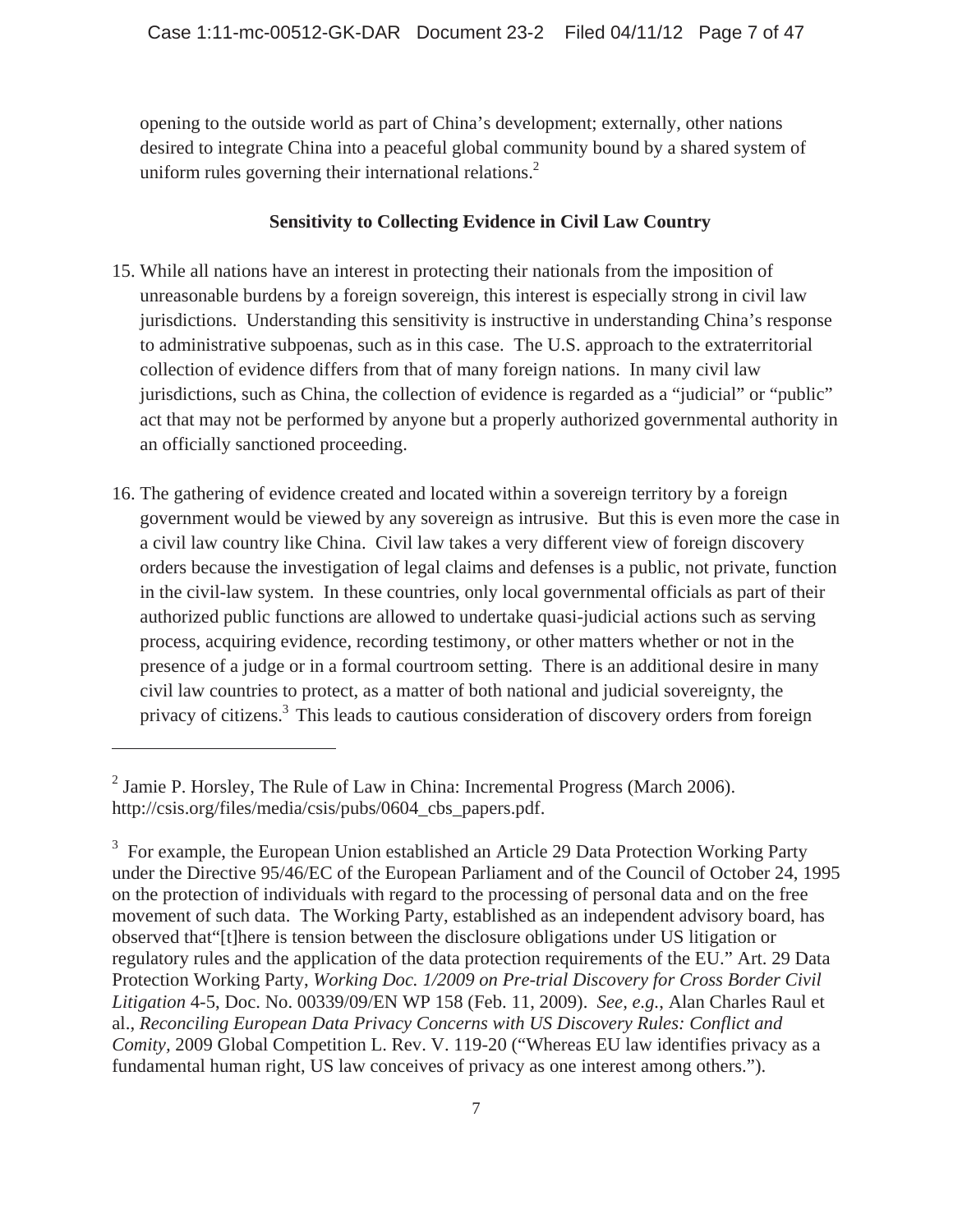opening to the outside world as part of China's development; externally, other nations desired to integrate China into a peaceful global community bound by a shared system of uniform rules governing their international relations. $<sup>2</sup>$ </sup>

## **Sensitivity to Collecting Evidence in Civil Law Country**

- 15. While all nations have an interest in protecting their nationals from the imposition of unreasonable burdens by a foreign sovereign, this interest is especially strong in civil law jurisdictions. Understanding this sensitivity is instructive in understanding China's response to administrative subpoenas, such as in this case. The U.S. approach to the extraterritorial collection of evidence differs from that of many foreign nations. In many civil law jurisdictions, such as China, the collection of evidence is regarded as a "judicial" or "public" act that may not be performed by anyone but a properly authorized governmental authority in an officially sanctioned proceeding.
- 16. The gathering of evidence created and located within a sovereign territory by a foreign government would be viewed by any sovereign as intrusive. But this is even more the case in a civil law country like China. Civil law takes a very different view of foreign discovery orders because the investigation of legal claims and defenses is a public, not private, function in the civil-law system. In these countries, only local governmental officials as part of their authorized public functions are allowed to undertake quasi-judicial actions such as serving process, acquiring evidence, recording testimony, or other matters whether or not in the presence of a judge or in a formal courtroom setting. There is an additional desire in many civil law countries to protect, as a matter of both national and judicial sovereignty, the privacy of citizens.<sup>3</sup> This leads to cautious consideration of discovery orders from foreign

 $<sup>2</sup>$  Jamie P. Horsley, The Rule of Law in China: Incremental Progress (March 2006).</sup> http://csis.org/files/media/csis/pubs/0604 cbs papers.pdf.

<sup>&</sup>lt;sup>3</sup> For example, the European Union established an Article 29 Data Protection Working Party under the Directive 95/46/EC of the European Parliament and of the Council of October 24, 1995 on the protection of individuals with regard to the processing of personal data and on the free movement of such data. The Working Party, established as an independent advisory board, has observed that"[t]here is tension between the disclosure obligations under US litigation or regulatory rules and the application of the data protection requirements of the EU." Art. 29 Data Protection Working Party, *Working Doc. 1/2009 on Pre-trial Discovery for Cross Border Civil Litigation* 4-5, Doc. No. 00339/09/EN WP 158 (Feb. 11, 2009). *See, e.g.*, Alan Charles Raul et al., *Reconciling European Data Privacy Concerns with US Discovery Rules: Conflict and Comity,* 2009 Global Competition L. Rev. V. 119-20 ("Whereas EU law identifies privacy as a fundamental human right, US law conceives of privacy as one interest among others.").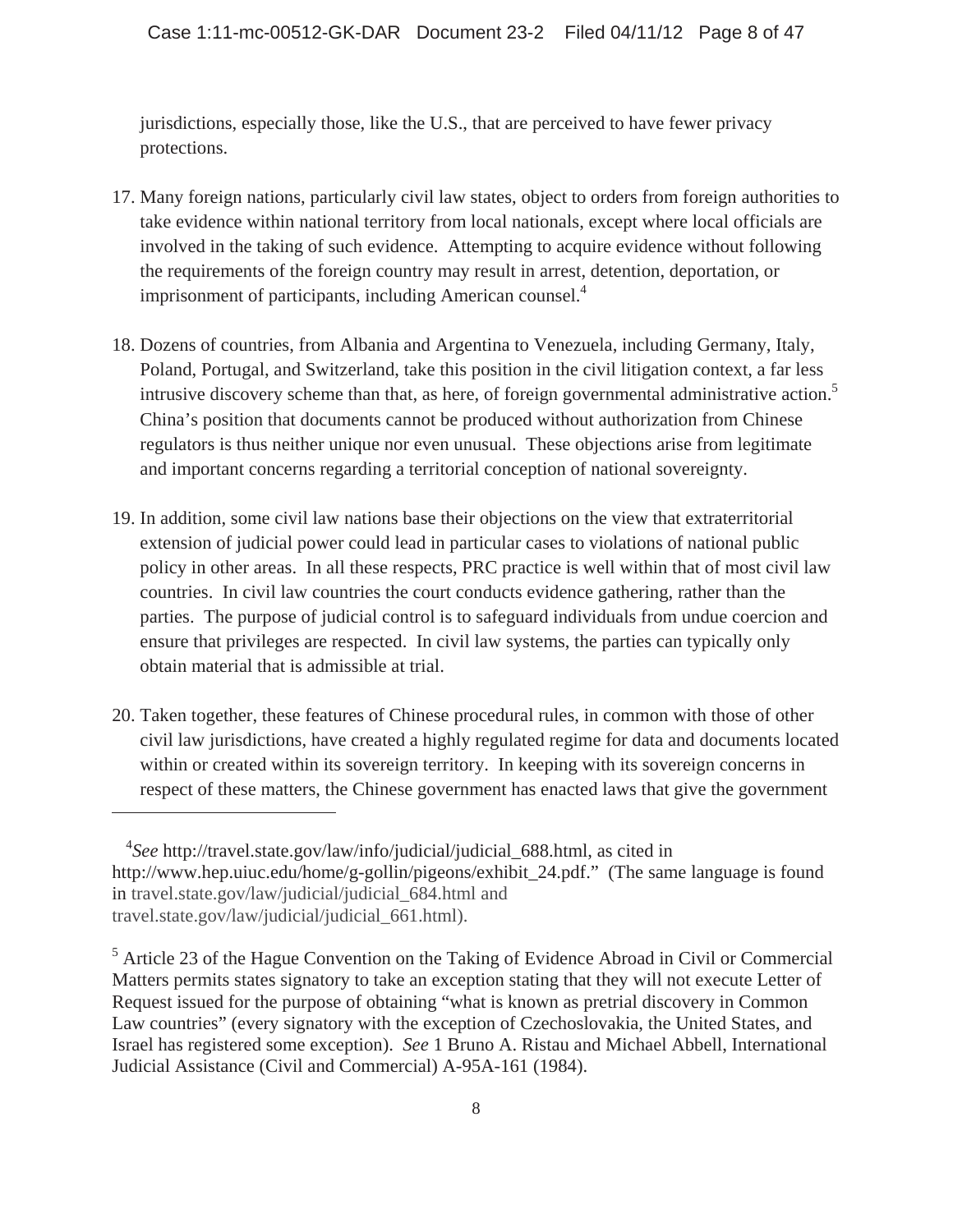jurisdictions, especially those, like the U.S., that are perceived to have fewer privacy protections.

- 17. Many foreign nations, particularly civil law states, object to orders from foreign authorities to take evidence within national territory from local nationals, except where local officials are involved in the taking of such evidence. Attempting to acquire evidence without following the requirements of the foreign country may result in arrest, detention, deportation, or imprisonment of participants, including American counsel.<sup>4</sup>
- 18. Dozens of countries, from Albania and Argentina to Venezuela, including Germany, Italy, Poland, Portugal, and Switzerland, take this position in the civil litigation context, a far less intrusive discovery scheme than that, as here, of foreign governmental administrative action.<sup>5</sup> China's position that documents cannot be produced without authorization from Chinese regulators is thus neither unique nor even unusual. These objections arise from legitimate and important concerns regarding a territorial conception of national sovereignty.
- 19. In addition, some civil law nations base their objections on the view that extraterritorial extension of judicial power could lead in particular cases to violations of national public policy in other areas. In all these respects, PRC practice is well within that of most civil law countries. In civil law countries the court conducts evidence gathering, rather than the parties. The purpose of judicial control is to safeguard individuals from undue coercion and ensure that privileges are respected. In civil law systems, the parties can typically only obtain material that is admissible at trial.
- 20. Taken together, these features of Chinese procedural rules, in common with those of other civil law jurisdictions, have created a highly regulated regime for data and documents located within or created within its sovereign territory. In keeping with its sovereign concerns in respect of these matters, the Chinese government has enacted laws that give the government

<sup>4</sup> *See* http://travel.state.gov/law/info/judicial/judicial\_688.html, as cited in http://www.hep.uiuc.edu/home/g-gollin/pigeons/exhibit\_24.pdf." (The same language is found in travel.state.gov/law/judicial/judicial\_684.html and travel.state.gov/law/judicial/judicial\_661.html).

<sup>&</sup>lt;sup>5</sup> Article 23 of the Hague Convention on the Taking of Evidence Abroad in Civil or Commercial Matters permits states signatory to take an exception stating that they will not execute Letter of Request issued for the purpose of obtaining "what is known as pretrial discovery in Common Law countries" (every signatory with the exception of Czechoslovakia, the United States, and Israel has registered some exception). *See* 1 Bruno A. Ristau and Michael Abbell, International Judicial Assistance (Civil and Commercial) A-95A-161 (1984).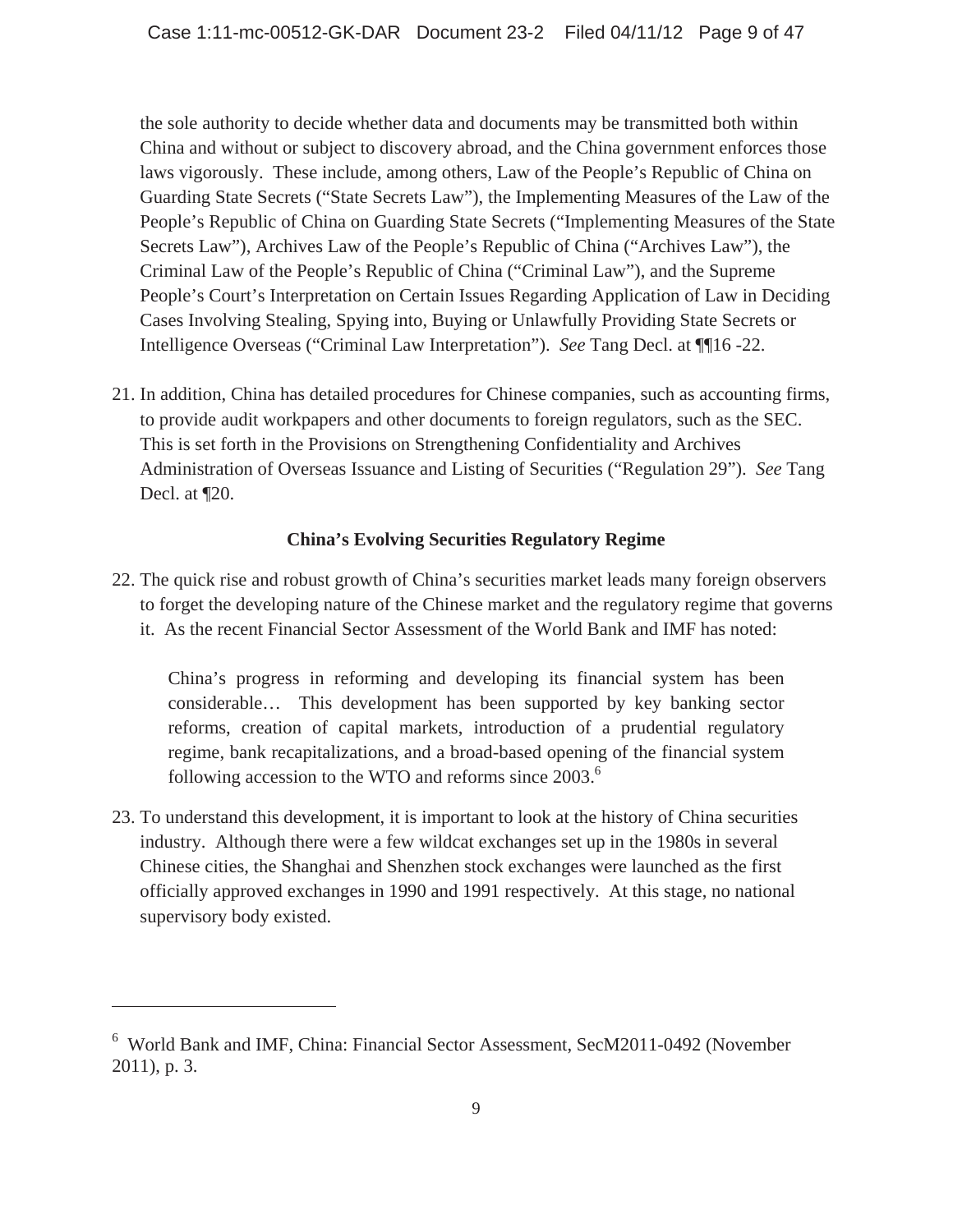the sole authority to decide whether data and documents may be transmitted both within China and without or subject to discovery abroad, and the China government enforces those laws vigorously. These include, among others, Law of the People's Republic of China on Guarding State Secrets ("State Secrets Law"), the Implementing Measures of the Law of the People's Republic of China on Guarding State Secrets ("Implementing Measures of the State Secrets Law"), Archives Law of the People's Republic of China ("Archives Law"), the Criminal Law of the People's Republic of China ("Criminal Law"), and the Supreme People's Court's Interpretation on Certain Issues Regarding Application of Law in Deciding Cases Involving Stealing, Spying into, Buying or Unlawfully Providing State Secrets or Intelligence Overseas ("Criminal Law Interpretation"). *See* Tang Decl. at ¶¶16 -22.

21. In addition, China has detailed procedures for Chinese companies, such as accounting firms, to provide audit workpapers and other documents to foreign regulators, such as the SEC. This is set forth in the Provisions on Strengthening Confidentiality and Archives Administration of Overseas Issuance and Listing of Securities ("Regulation 29"). *See* Tang Decl. at ¶20.

## **China's Evolving Securities Regulatory Regime**

22. The quick rise and robust growth of China's securities market leads many foreign observers to forget the developing nature of the Chinese market and the regulatory regime that governs it. As the recent Financial Sector Assessment of the World Bank and IMF has noted:

China's progress in reforming and developing its financial system has been considerable… This development has been supported by key banking sector reforms, creation of capital markets, introduction of a prudential regulatory regime, bank recapitalizations, and a broad-based opening of the financial system following accession to the WTO and reforms since  $2003$ .<sup>6</sup>

23. To understand this development, it is important to look at the history of China securities industry. Although there were a few wildcat exchanges set up in the 1980s in several Chinese cities, the Shanghai and Shenzhen stock exchanges were launched as the first officially approved exchanges in 1990 and 1991 respectively. At this stage, no national supervisory body existed.

<sup>6</sup> World Bank and IMF, China: Financial Sector Assessment, SecM2011-0492 (November 2011), p. 3.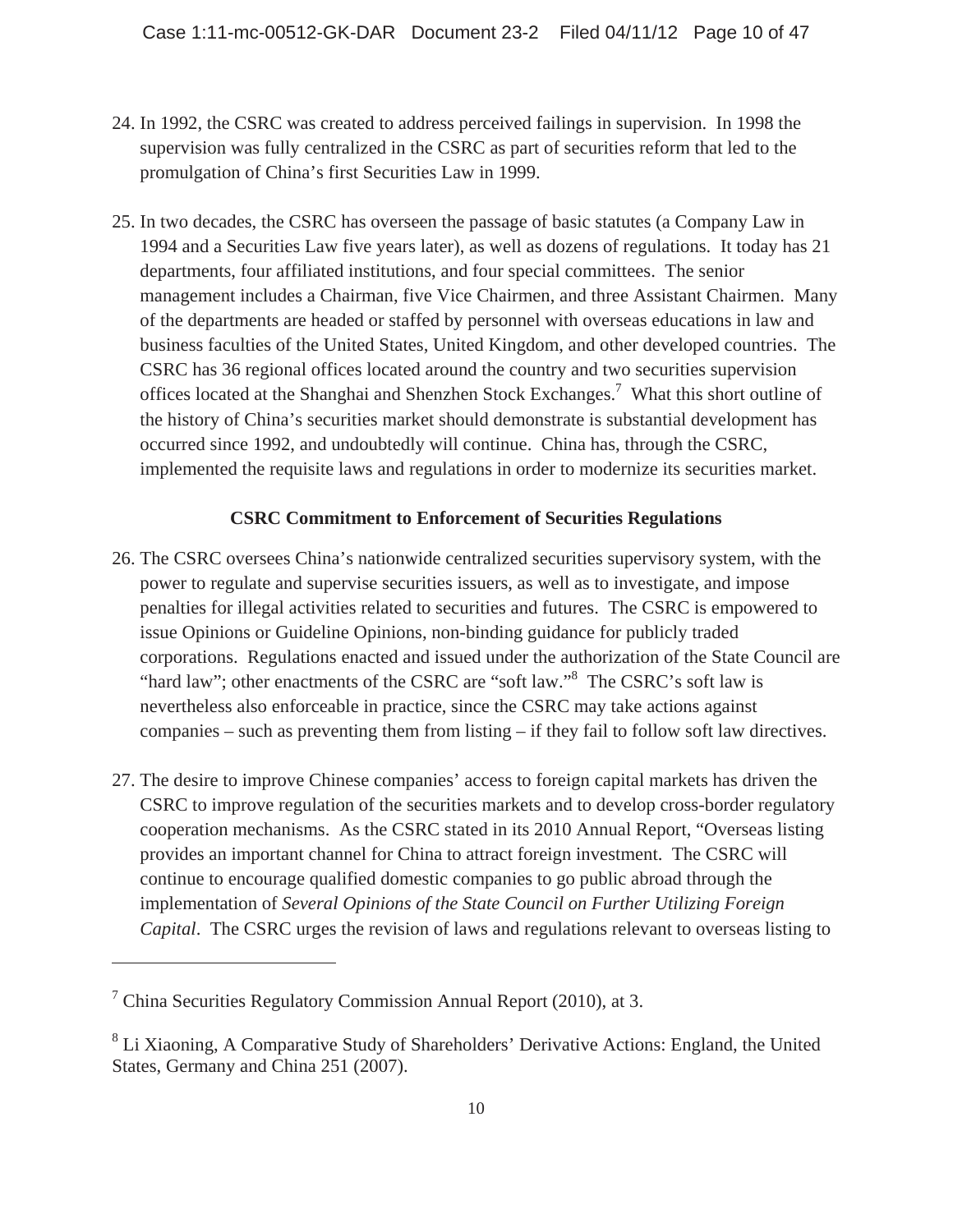- 24. In 1992, the CSRC was created to address perceived failings in supervision. In 1998 the supervision was fully centralized in the CSRC as part of securities reform that led to the promulgation of China's first Securities Law in 1999.
- 25. In two decades, the CSRC has overseen the passage of basic statutes (a Company Law in 1994 and a Securities Law five years later), as well as dozens of regulations. It today has 21 departments, four affiliated institutions, and four special committees. The senior management includes a Chairman, five Vice Chairmen, and three Assistant Chairmen. Many of the departments are headed or staffed by personnel with overseas educations in law and business faculties of the United States, United Kingdom, and other developed countries. The CSRC has 36 regional offices located around the country and two securities supervision offices located at the Shanghai and Shenzhen Stock Exchanges.<sup>7</sup> What this short outline of the history of China's securities market should demonstrate is substantial development has occurred since 1992, and undoubtedly will continue. China has, through the CSRC, implemented the requisite laws and regulations in order to modernize its securities market.

## **CSRC Commitment to Enforcement of Securities Regulations**

- 26. The CSRC oversees China's nationwide centralized securities supervisory system, with the power to regulate and supervise securities issuers, as well as to investigate, and impose penalties for illegal activities related to securities and futures. The CSRC is empowered to issue Opinions or Guideline Opinions, non-binding guidance for publicly traded corporations. Regulations enacted and issued under the authorization of the State Council are "hard law"; other enactments of the CSRC are "soft law."<sup>8</sup> The CSRC's soft law is nevertheless also enforceable in practice, since the CSRC may take actions against companies – such as preventing them from listing – if they fail to follow soft law directives.
- 27. The desire to improve Chinese companies' access to foreign capital markets has driven the CSRC to improve regulation of the securities markets and to develop cross-border regulatory cooperation mechanisms. As the CSRC stated in its 2010 Annual Report, "Overseas listing provides an important channel for China to attract foreign investment. The CSRC will continue to encourage qualified domestic companies to go public abroad through the implementation of *Several Opinions of the State Council on Further Utilizing Foreign Capital*. The CSRC urges the revision of laws and regulations relevant to overseas listing to

 $7$  China Securities Regulatory Commission Annual Report (2010), at 3.

<sup>&</sup>lt;sup>8</sup> Li Xiaoning, A Comparative Study of Shareholders' Derivative Actions: England, the United States, Germany and China 251 (2007).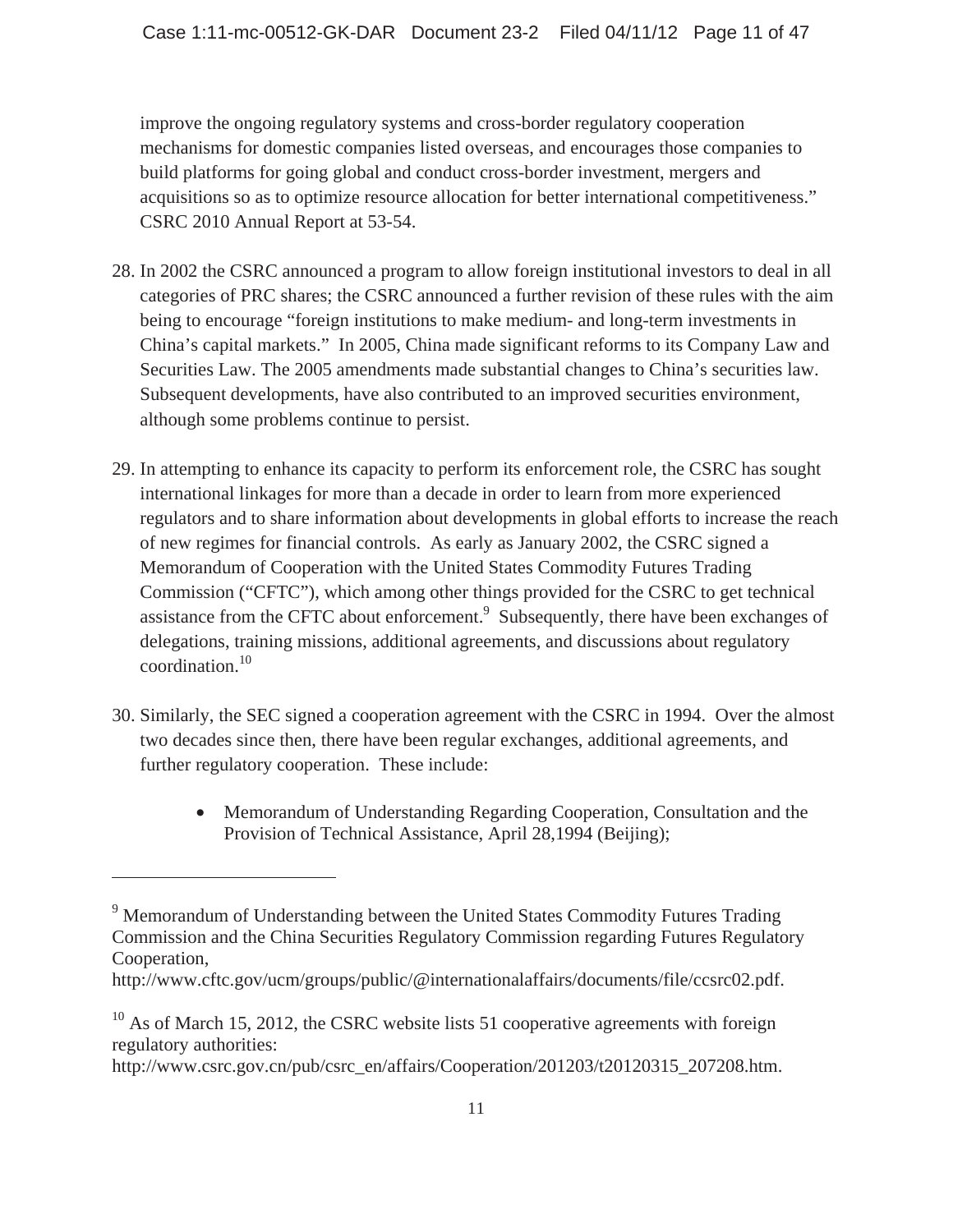improve the ongoing regulatory systems and cross-border regulatory cooperation mechanisms for domestic companies listed overseas, and encourages those companies to build platforms for going global and conduct cross-border investment, mergers and acquisitions so as to optimize resource allocation for better international competitiveness." CSRC 2010 Annual Report at 53-54.

- 28. In 2002 the CSRC announced a program to allow foreign institutional investors to deal in all categories of PRC shares; the CSRC announced a further revision of these rules with the aim being to encourage "foreign institutions to make medium- and long-term investments in China's capital markets." In 2005, China made significant reforms to its Company Law and Securities Law. The 2005 amendments made substantial changes to China's securities law. Subsequent developments, have also contributed to an improved securities environment, although some problems continue to persist.
- 29. In attempting to enhance its capacity to perform its enforcement role, the CSRC has sought international linkages for more than a decade in order to learn from more experienced regulators and to share information about developments in global efforts to increase the reach of new regimes for financial controls. As early as January 2002, the CSRC signed a Memorandum of Cooperation with the United States Commodity Futures Trading Commission ("CFTC"), which among other things provided for the CSRC to get technical assistance from the CFTC about enforcement.<sup>9</sup> Subsequently, there have been exchanges of delegations, training missions, additional agreements, and discussions about regulatory coordination.<sup>10</sup>
- 30. Similarly, the SEC signed a cooperation agreement with the CSRC in 1994. Over the almost two decades since then, there have been regular exchanges, additional agreements, and further regulatory cooperation. These include:
	- Memorandum of Understanding Regarding Cooperation, Consultation and the Provision of Technical Assistance, April 28,1994 (Beijing);

 $\overline{a}$ 

http://www.csrc.gov.cn/pub/csrc\_en/affairs/Cooperation/201203/t20120315\_207208.htm.

<sup>&</sup>lt;sup>9</sup> Memorandum of Understanding between the United States Commodity Futures Trading Commission and the China Securities Regulatory Commission regarding Futures Regulatory Cooperation,

http://www.cftc.gov/ucm/groups/public/@internationalaffairs/documents/file/ccsrc02.pdf.

 $10$  As of March 15, 2012, the CSRC website lists 51 cooperative agreements with foreign regulatory authorities: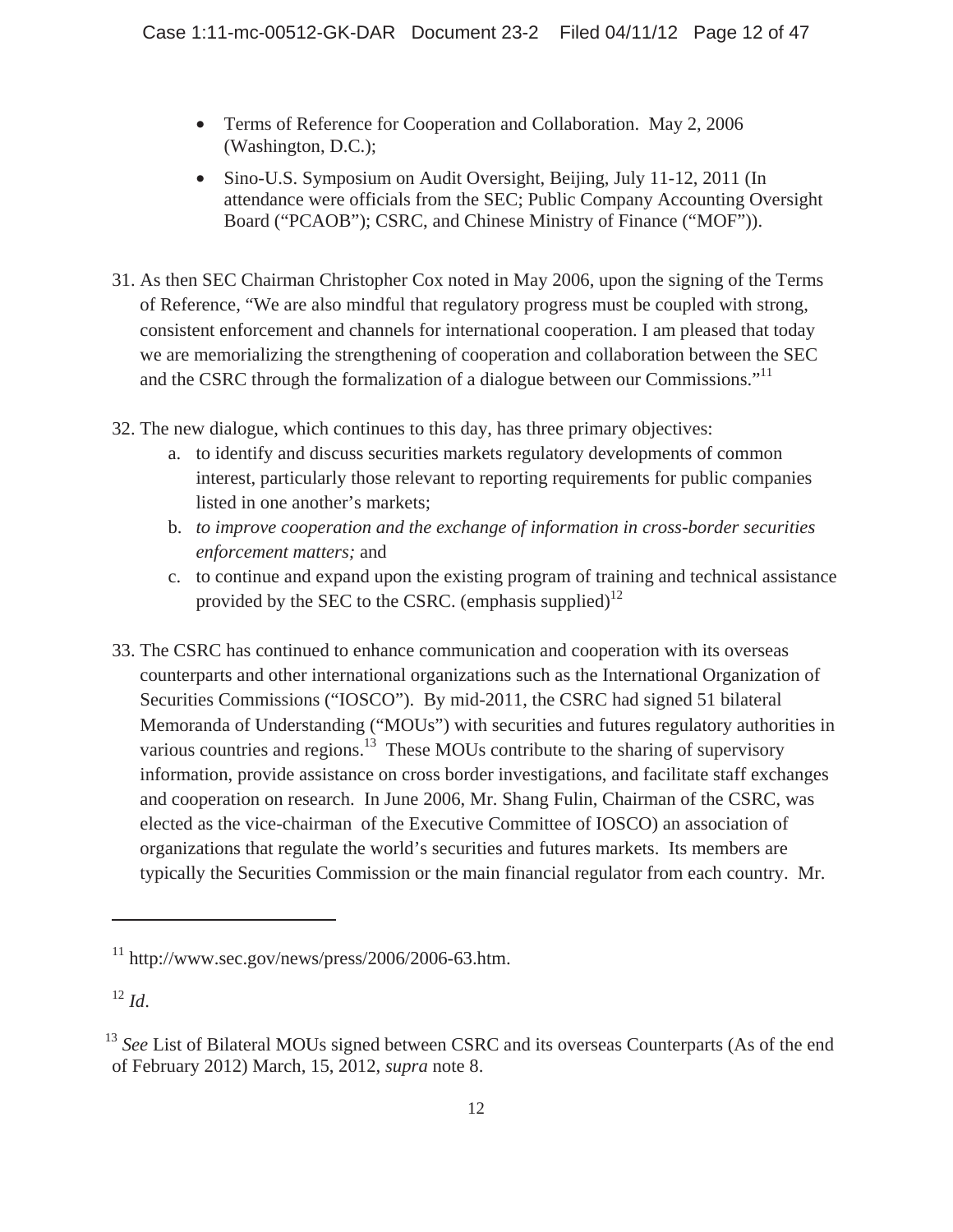- Terms of Reference for Cooperation and Collaboration. May 2, 2006 (Washington, D.C.);
- Sino-U.S. Symposium on Audit Oversight, Beijing, July 11-12, 2011 (In attendance were officials from the SEC; Public Company Accounting Oversight Board ("PCAOB"); CSRC, and Chinese Ministry of Finance ("MOF")).
- 31. As then SEC Chairman Christopher Cox noted in May 2006, upon the signing of the Terms of Reference, "We are also mindful that regulatory progress must be coupled with strong, consistent enforcement and channels for international cooperation. I am pleased that today we are memorializing the strengthening of cooperation and collaboration between the SEC and the CSRC through the formalization of a dialogue between our Commissions."<sup>11</sup>
- 32. The new dialogue, which continues to this day, has three primary objectives:
	- a. to identify and discuss securities markets regulatory developments of common interest, particularly those relevant to reporting requirements for public companies listed in one another's markets;
	- b. *to improve cooperation and the exchange of information in cross-border securities enforcement matters;* and
	- c. to continue and expand upon the existing program of training and technical assistance provided by the SEC to the CSRC. (emphasis supplied) $^{12}$
- 33. The CSRC has continued to enhance communication and cooperation with its overseas counterparts and other international organizations such as the International Organization of Securities Commissions ("IOSCO"). By mid-2011, the CSRC had signed 51 bilateral Memoranda of Understanding ("MOUs") with securities and futures regulatory authorities in various countries and regions.<sup>13</sup> These MOUs contribute to the sharing of supervisory information, provide assistance on cross border investigations, and facilitate staff exchanges and cooperation on research. In June 2006, Mr. Shang Fulin, Chairman of the CSRC, was elected as the vice-chairman of the Executive Committee of IOSCO) an association of organizations that regulate the world's securities and futures markets. Its members are typically the Securities Commission or the main financial regulator from each country. Mr.

 $11$  http://www.sec.gov/news/press/2006/2006-63.htm.

 $^{12}$  *Id.* 

<sup>&</sup>lt;sup>13</sup> See List of Bilateral MOUs signed between CSRC and its overseas Counterparts (As of the end of February 2012) March, 15, 2012, *supra* note 8.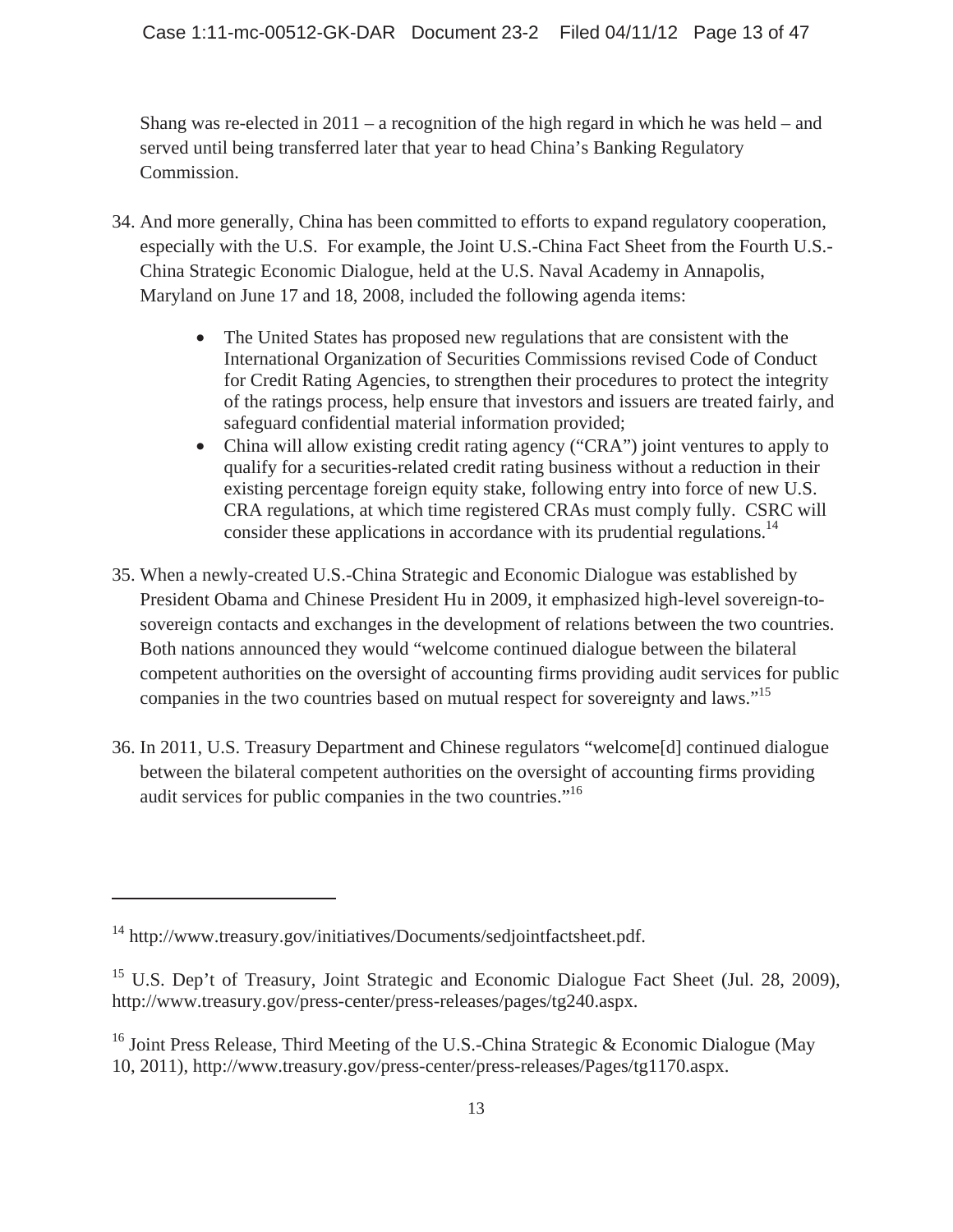Shang was re-elected in  $2011 - a$  recognition of the high regard in which he was held – and served until being transferred later that year to head China's Banking Regulatory Commission.

- 34. And more generally, China has been committed to efforts to expand regulatory cooperation, especially with the U.S. For example, the Joint U.S.-China Fact Sheet from the Fourth U.S.- China Strategic Economic Dialogue, held at the U.S. Naval Academy in Annapolis, Maryland on June 17 and 18, 2008, included the following agenda items:
	- The United States has proposed new regulations that are consistent with the International Organization of Securities Commissions revised Code of Conduct for Credit Rating Agencies, to strengthen their procedures to protect the integrity of the ratings process, help ensure that investors and issuers are treated fairly, and safeguard confidential material information provided;
	- China will allow existing credit rating agency ("CRA") joint ventures to apply to qualify for a securities-related credit rating business without a reduction in their existing percentage foreign equity stake, following entry into force of new U.S. CRA regulations, at which time registered CRAs must comply fully. CSRC will consider these applications in accordance with its prudential regulations.<sup>14</sup>
- 35. When a newly-created U.S.-China Strategic and Economic Dialogue was established by President Obama and Chinese President Hu in 2009, it emphasized high-level sovereign-tosovereign contacts and exchanges in the development of relations between the two countries. Both nations announced they would "welcome continued dialogue between the bilateral competent authorities on the oversight of accounting firms providing audit services for public companies in the two countries based on mutual respect for sovereignty and laws."15
- 36. In 2011, U.S. Treasury Department and Chinese regulators "welcome[d] continued dialogue between the bilateral competent authorities on the oversight of accounting firms providing audit services for public companies in the two countries."<sup>16</sup>

<sup>14</sup> http://www.treasury.gov/initiatives/Documents/sedjointfactsheet.pdf.

<sup>&</sup>lt;sup>15</sup> U.S. Dep't of Treasury, Joint Strategic and Economic Dialogue Fact Sheet (Jul. 28, 2009), http://www.treasury.gov/press-center/press-releases/pages/tg240.aspx.

<sup>&</sup>lt;sup>16</sup> Joint Press Release, Third Meeting of the U.S.-China Strategic & Economic Dialogue (May 10, 2011), http://www.treasury.gov/press-center/press-releases/Pages/tg1170.aspx.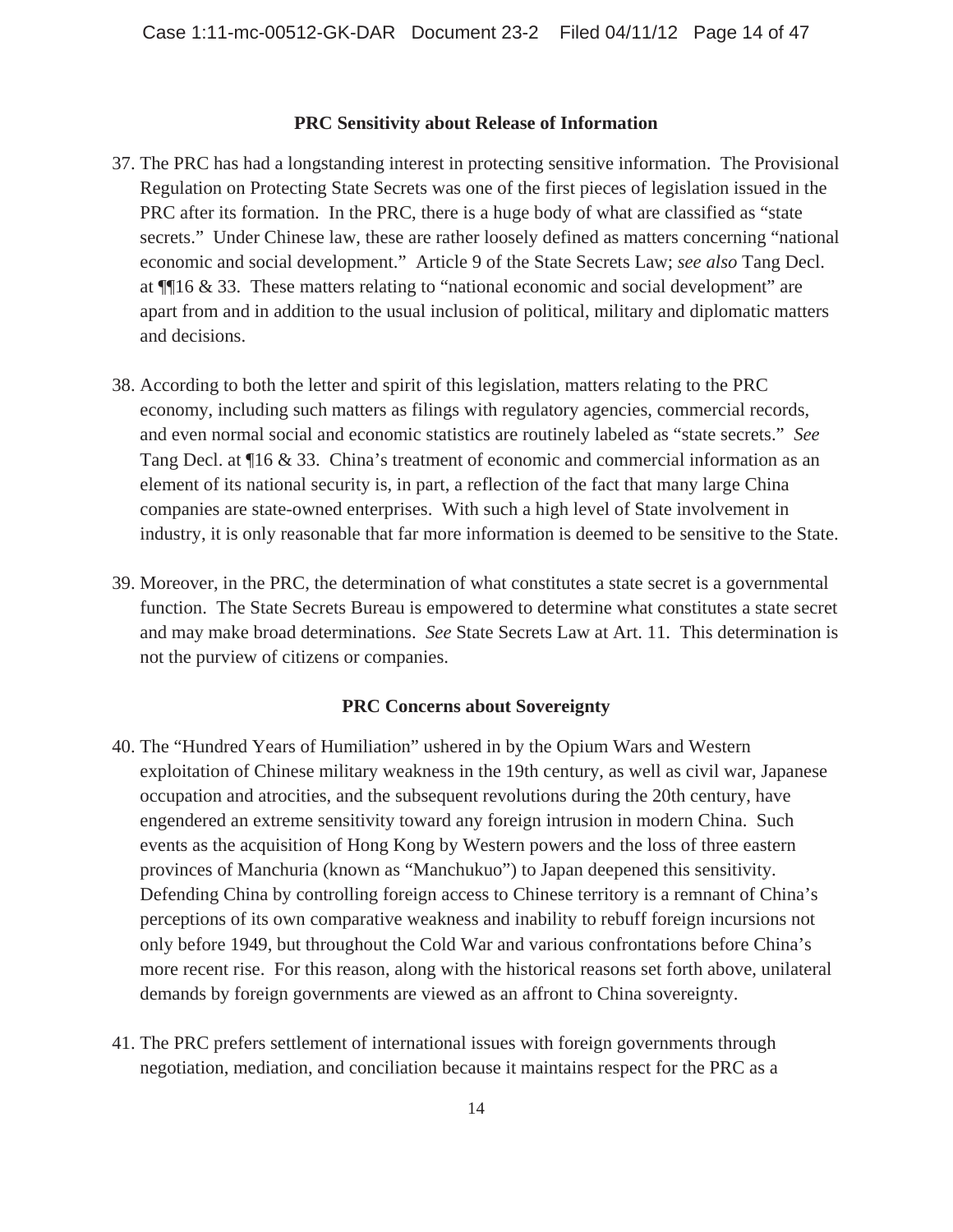#### **PRC Sensitivity about Release of Information**

- 37. The PRC has had a longstanding interest in protecting sensitive information. The Provisional Regulation on Protecting State Secrets was one of the first pieces of legislation issued in the PRC after its formation. In the PRC, there is a huge body of what are classified as "state secrets." Under Chinese law, these are rather loosely defined as matters concerning "national economic and social development." Article 9 of the State Secrets Law; *see also* Tang Decl. at ¶¶16 & 33. These matters relating to "national economic and social development" are apart from and in addition to the usual inclusion of political, military and diplomatic matters and decisions.
- 38. According to both the letter and spirit of this legislation, matters relating to the PRC economy, including such matters as filings with regulatory agencies, commercial records, and even normal social and economic statistics are routinely labeled as "state secrets." *See* Tang Decl. at ¶16 & 33. China's treatment of economic and commercial information as an element of its national security is, in part, a reflection of the fact that many large China companies are state-owned enterprises. With such a high level of State involvement in industry, it is only reasonable that far more information is deemed to be sensitive to the State.
- 39. Moreover, in the PRC, the determination of what constitutes a state secret is a governmental function. The State Secrets Bureau is empowered to determine what constitutes a state secret and may make broad determinations. *See* State Secrets Law at Art. 11. This determination is not the purview of citizens or companies.

#### **PRC Concerns about Sovereignty**

- 40. The "Hundred Years of Humiliation" ushered in by the Opium Wars and Western exploitation of Chinese military weakness in the 19th century, as well as civil war, Japanese occupation and atrocities, and the subsequent revolutions during the 20th century, have engendered an extreme sensitivity toward any foreign intrusion in modern China. Such events as the acquisition of Hong Kong by Western powers and the loss of three eastern provinces of Manchuria (known as "Manchukuo") to Japan deepened this sensitivity. Defending China by controlling foreign access to Chinese territory is a remnant of China's perceptions of its own comparative weakness and inability to rebuff foreign incursions not only before 1949, but throughout the Cold War and various confrontations before China's more recent rise. For this reason, along with the historical reasons set forth above, unilateral demands by foreign governments are viewed as an affront to China sovereignty.
- 41. The PRC prefers settlement of international issues with foreign governments through negotiation, mediation, and conciliation because it maintains respect for the PRC as a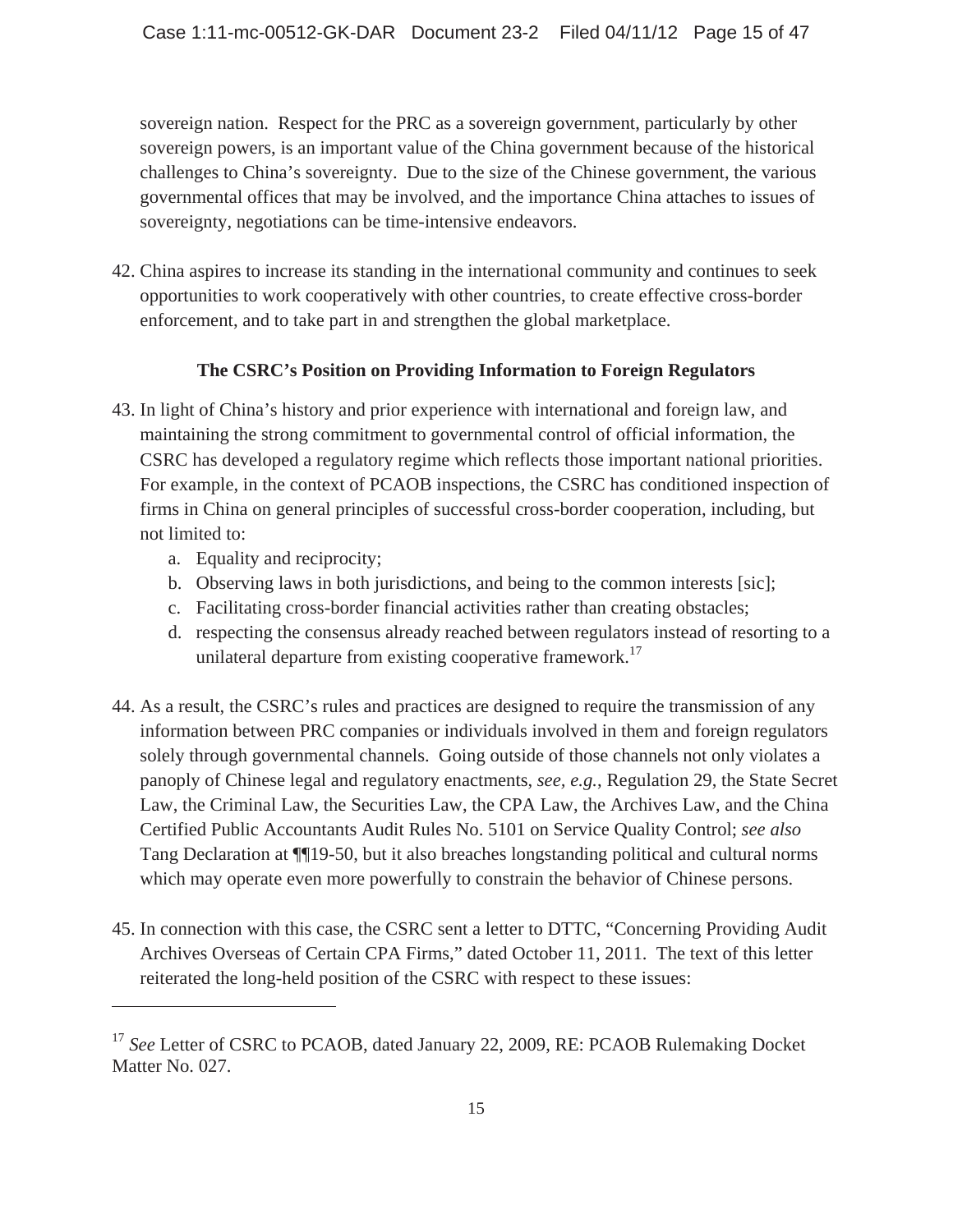sovereign nation. Respect for the PRC as a sovereign government, particularly by other sovereign powers, is an important value of the China government because of the historical challenges to China's sovereignty. Due to the size of the Chinese government, the various governmental offices that may be involved, and the importance China attaches to issues of sovereignty, negotiations can be time-intensive endeavors.

42. China aspires to increase its standing in the international community and continues to seek opportunities to work cooperatively with other countries, to create effective cross-border enforcement, and to take part in and strengthen the global marketplace.

# **The CSRC's Position on Providing Information to Foreign Regulators**

- 43. In light of China's history and prior experience with international and foreign law, and maintaining the strong commitment to governmental control of official information, the CSRC has developed a regulatory regime which reflects those important national priorities. For example, in the context of PCAOB inspections, the CSRC has conditioned inspection of firms in China on general principles of successful cross-border cooperation, including, but not limited to:
	- a. Equality and reciprocity;

- b. Observing laws in both jurisdictions, and being to the common interests [sic];
- c. Facilitating cross-border financial activities rather than creating obstacles;
- d. respecting the consensus already reached between regulators instead of resorting to a unilateral departure from existing cooperative framework.<sup>17</sup>
- 44. As a result, the CSRC's rules and practices are designed to require the transmission of any information between PRC companies or individuals involved in them and foreign regulators solely through governmental channels. Going outside of those channels not only violates a panoply of Chinese legal and regulatory enactments, *see, e.g.*, Regulation 29, the State Secret Law, the Criminal Law, the Securities Law, the CPA Law, the Archives Law, and the China Certified Public Accountants Audit Rules No. 5101 on Service Quality Control; *see also* Tang Declaration at ¶¶19-50, but it also breaches longstanding political and cultural norms which may operate even more powerfully to constrain the behavior of Chinese persons.
- 45. In connection with this case, the CSRC sent a letter to DTTC, "Concerning Providing Audit Archives Overseas of Certain CPA Firms," dated October 11, 2011. The text of this letter reiterated the long-held position of the CSRC with respect to these issues:

<sup>&</sup>lt;sup>17</sup> See Letter of CSRC to PCAOB, dated January 22, 2009, RE: PCAOB Rulemaking Docket Matter No. 027.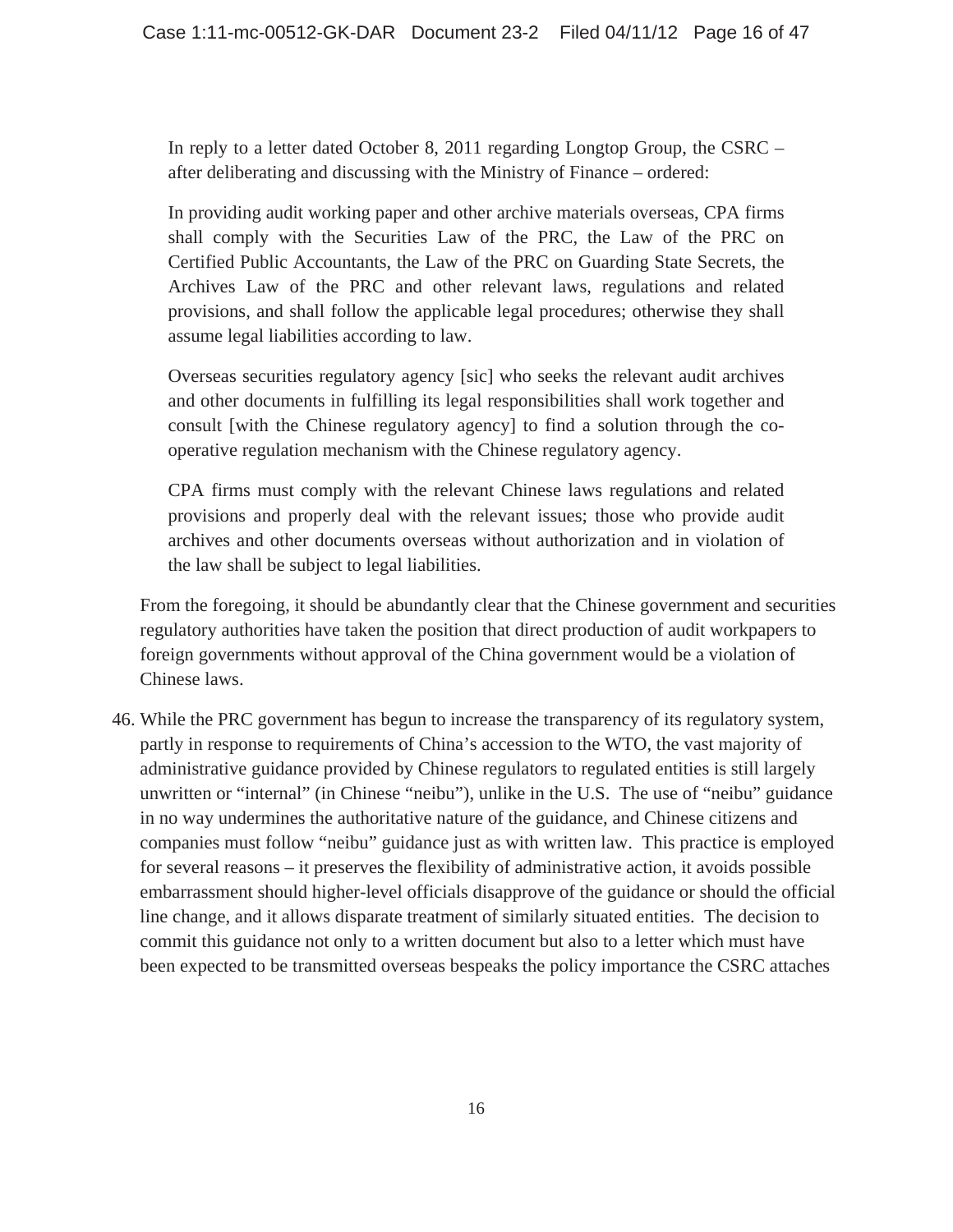In reply to a letter dated October 8, 2011 regarding Longtop Group, the CSRC – after deliberating and discussing with the Ministry of Finance – ordered:

In providing audit working paper and other archive materials overseas, CPA firms shall comply with the Securities Law of the PRC, the Law of the PRC on Certified Public Accountants, the Law of the PRC on Guarding State Secrets, the Archives Law of the PRC and other relevant laws, regulations and related provisions, and shall follow the applicable legal procedures; otherwise they shall assume legal liabilities according to law.

Overseas securities regulatory agency [sic] who seeks the relevant audit archives and other documents in fulfilling its legal responsibilities shall work together and consult [with the Chinese regulatory agency] to find a solution through the cooperative regulation mechanism with the Chinese regulatory agency.

CPA firms must comply with the relevant Chinese laws regulations and related provisions and properly deal with the relevant issues; those who provide audit archives and other documents overseas without authorization and in violation of the law shall be subject to legal liabilities.

From the foregoing, it should be abundantly clear that the Chinese government and securities regulatory authorities have taken the position that direct production of audit workpapers to foreign governments without approval of the China government would be a violation of Chinese laws.

46. While the PRC government has begun to increase the transparency of its regulatory system, partly in response to requirements of China's accession to the WTO, the vast majority of administrative guidance provided by Chinese regulators to regulated entities is still largely unwritten or "internal" (in Chinese "neibu"), unlike in the U.S. The use of "neibu" guidance in no way undermines the authoritative nature of the guidance, and Chinese citizens and companies must follow "neibu" guidance just as with written law. This practice is employed for several reasons – it preserves the flexibility of administrative action, it avoids possible embarrassment should higher-level officials disapprove of the guidance or should the official line change, and it allows disparate treatment of similarly situated entities. The decision to commit this guidance not only to a written document but also to a letter which must have been expected to be transmitted overseas bespeaks the policy importance the CSRC attaches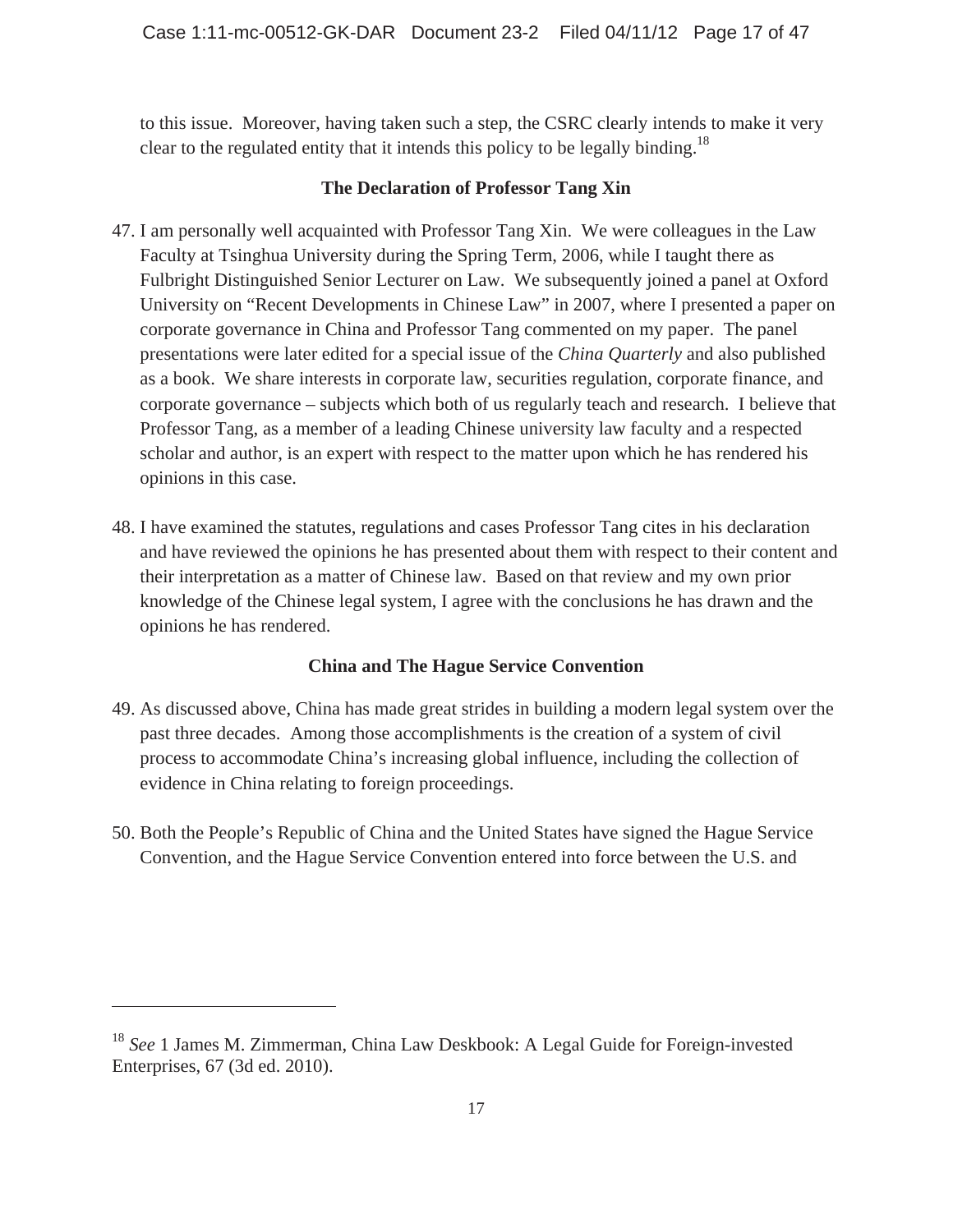to this issue. Moreover, having taken such a step, the CSRC clearly intends to make it very clear to the regulated entity that it intends this policy to be legally binding.<sup>18</sup>

## **The Declaration of Professor Tang Xin**

- 47. I am personally well acquainted with Professor Tang Xin. We were colleagues in the Law Faculty at Tsinghua University during the Spring Term, 2006, while I taught there as Fulbright Distinguished Senior Lecturer on Law. We subsequently joined a panel at Oxford University on "Recent Developments in Chinese Law" in 2007, where I presented a paper on corporate governance in China and Professor Tang commented on my paper. The panel presentations were later edited for a special issue of the *China Quarterly* and also published as a book. We share interests in corporate law, securities regulation, corporate finance, and corporate governance – subjects which both of us regularly teach and research. I believe that Professor Tang, as a member of a leading Chinese university law faculty and a respected scholar and author, is an expert with respect to the matter upon which he has rendered his opinions in this case.
- 48. I have examined the statutes, regulations and cases Professor Tang cites in his declaration and have reviewed the opinions he has presented about them with respect to their content and their interpretation as a matter of Chinese law. Based on that review and my own prior knowledge of the Chinese legal system, I agree with the conclusions he has drawn and the opinions he has rendered.

# **China and The Hague Service Convention**

- 49. As discussed above, China has made great strides in building a modern legal system over the past three decades. Among those accomplishments is the creation of a system of civil process to accommodate China's increasing global influence, including the collection of evidence in China relating to foreign proceedings.
- 50. Both the People's Republic of China and the United States have signed the Hague Service Convention, and the Hague Service Convention entered into force between the U.S. and

<sup>18</sup> *See* 1 James M. Zimmerman, China Law Deskbook: A Legal Guide for Foreign-invested Enterprises, 67 (3d ed. 2010).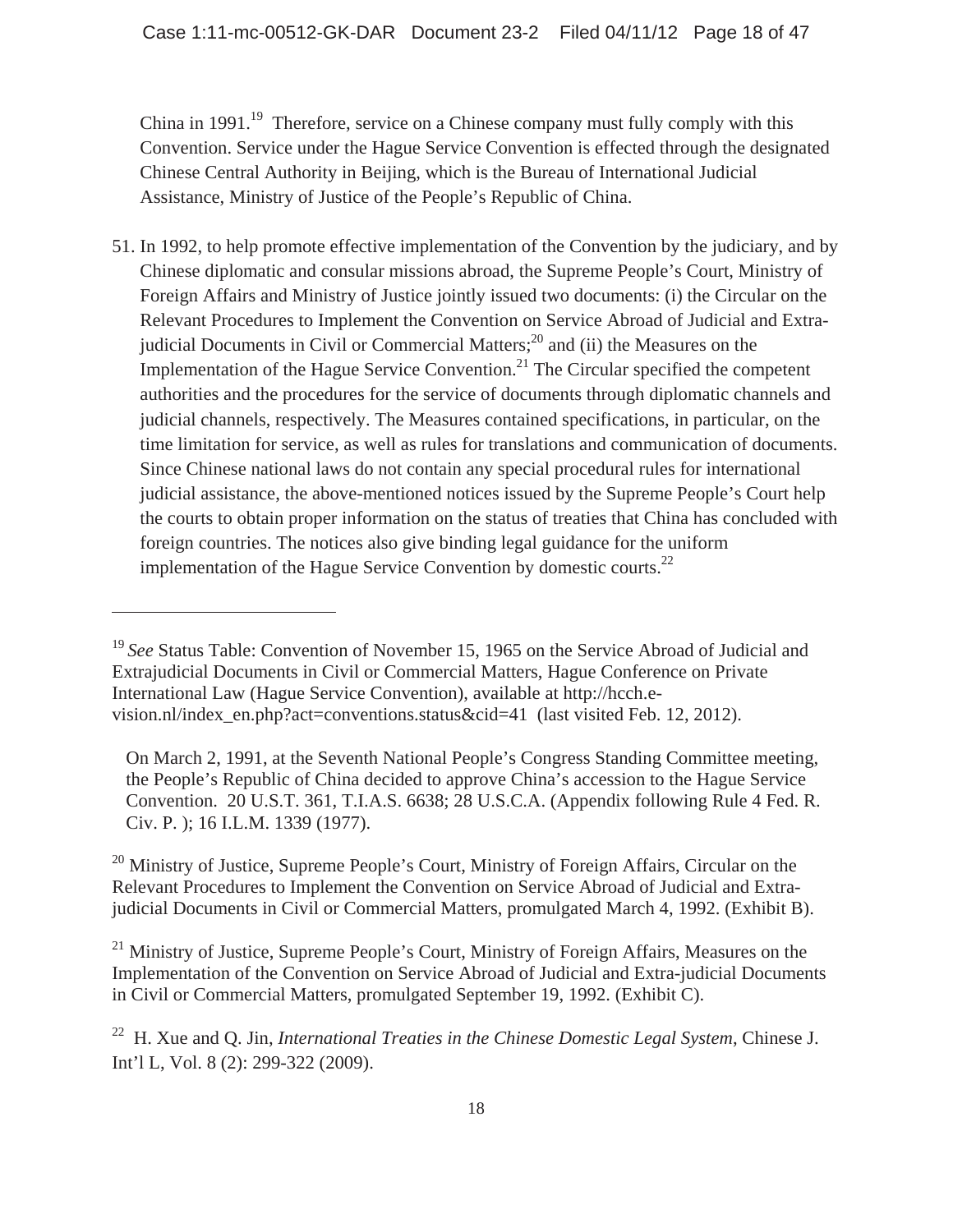China in 1991.<sup>19</sup> Therefore, service on a Chinese company must fully comply with this Convention. Service under the Hague Service Convention is effected through the designated Chinese Central Authority in Beijing, which is the Bureau of International Judicial Assistance, Ministry of Justice of the People's Republic of China.

51. In 1992, to help promote effective implementation of the Convention by the judiciary, and by Chinese diplomatic and consular missions abroad, the Supreme People's Court, Ministry of Foreign Affairs and Ministry of Justice jointly issued two documents: (i) the Circular on the Relevant Procedures to Implement the Convention on Service Abroad of Judicial and Extrajudicial Documents in Civil or Commercial Matters; $^{20}$  and (ii) the Measures on the Implementation of the Hague Service Convention.<sup>21</sup> The Circular specified the competent authorities and the procedures for the service of documents through diplomatic channels and judicial channels, respectively. The Measures contained specifications, in particular, on the time limitation for service, as well as rules for translations and communication of documents. Since Chinese national laws do not contain any special procedural rules for international judicial assistance, the above-mentioned notices issued by the Supreme People's Court help the courts to obtain proper information on the status of treaties that China has concluded with foreign countries. The notices also give binding legal guidance for the uniform implementation of the Hague Service Convention by domestic courts.<sup>22</sup>

 $\overline{a}$ 

<sup>20</sup> Ministry of Justice, Supreme People's Court, Ministry of Foreign Affairs, Circular on the Relevant Procedures to Implement the Convention on Service Abroad of Judicial and Extrajudicial Documents in Civil or Commercial Matters, promulgated March 4, 1992. (Exhibit B).

 $^{21}$  Ministry of Justice, Supreme People's Court, Ministry of Foreign Affairs, Measures on the Implementation of the Convention on Service Abroad of Judicial and Extra-judicial Documents in Civil or Commercial Matters, promulgated September 19, 1992. (Exhibit C).

<sup>&</sup>lt;sup>19</sup> See Status Table: Convention of November 15, 1965 on the Service Abroad of Judicial and Extrajudicial Documents in Civil or Commercial Matters, Hague Conference on Private International Law (Hague Service Convention), available at http://hcch.evision.nl/index\_en.php?act=conventions.status&cid=41 (last visited Feb. 12, 2012).

On March 2, 1991, at the Seventh National People's Congress Standing Committee meeting, the People's Republic of China decided to approve China's accession to the Hague Service Convention. 20 U.S.T. 361, T.I.A.S. 6638; 28 U.S.C.A. (Appendix following Rule 4 Fed. R. Civ. P. ); 16 I.L.M. 1339 (1977).

<sup>22</sup> H. Xue and Q. Jin, *International Treaties in the Chinese Domestic Legal System*, Chinese J. Int'l L, Vol. 8 (2): 299-322 (2009).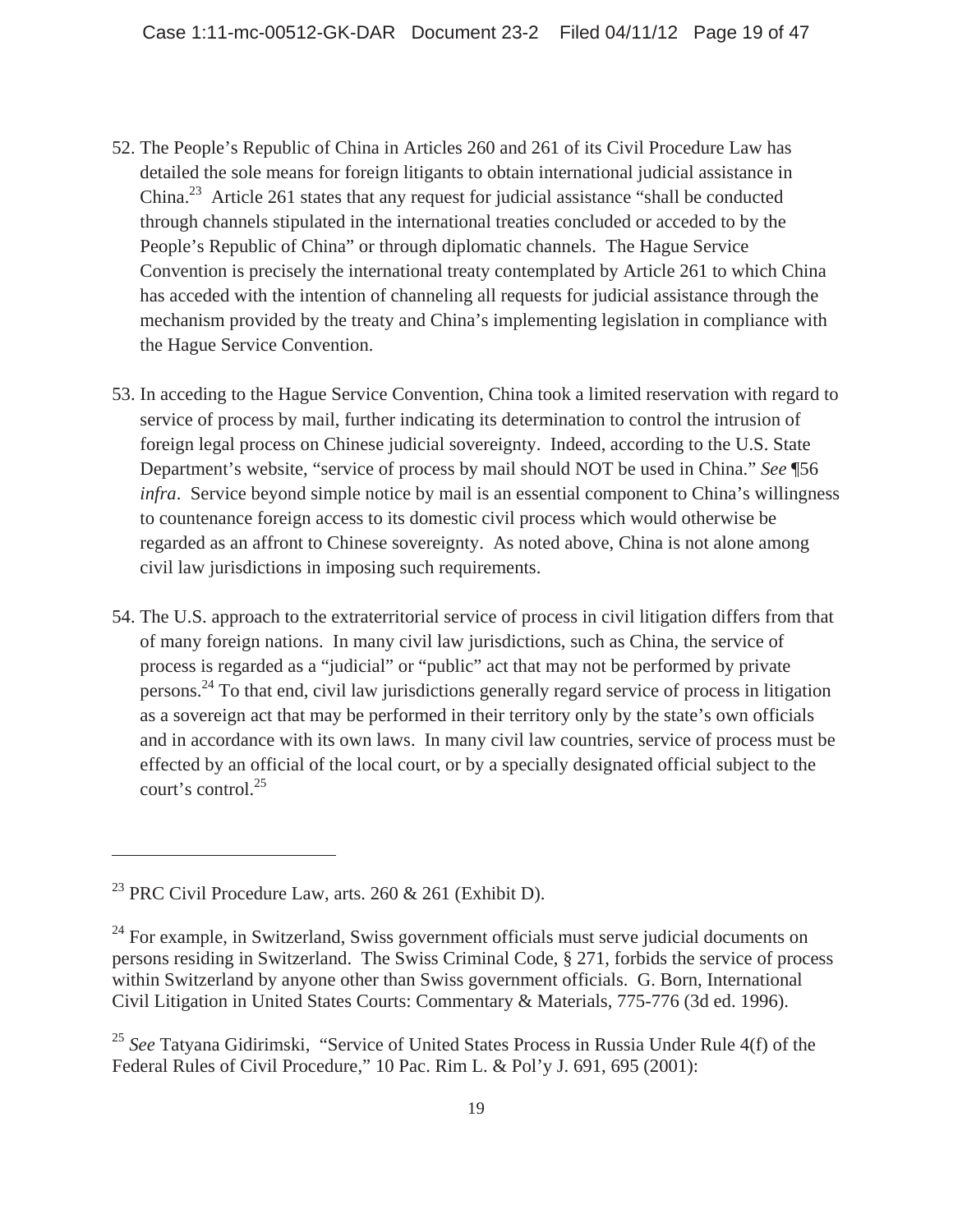- 52. The People's Republic of China in Articles 260 and 261 of its Civil Procedure Law has detailed the sole means for foreign litigants to obtain international judicial assistance in China.<sup>23</sup> Article 261 states that any request for judicial assistance "shall be conducted through channels stipulated in the international treaties concluded or acceded to by the People's Republic of China" or through diplomatic channels. The Hague Service Convention is precisely the international treaty contemplated by Article 261 to which China has acceded with the intention of channeling all requests for judicial assistance through the mechanism provided by the treaty and China's implementing legislation in compliance with the Hague Service Convention.
- 53. In acceding to the Hague Service Convention, China took a limited reservation with regard to service of process by mail, further indicating its determination to control the intrusion of foreign legal process on Chinese judicial sovereignty. Indeed, according to the U.S. State Department's website, "service of process by mail should NOT be used in China." *See* ¶56 *infra*. Service beyond simple notice by mail is an essential component to China's willingness to countenance foreign access to its domestic civil process which would otherwise be regarded as an affront to Chinese sovereignty. As noted above, China is not alone among civil law jurisdictions in imposing such requirements.
- 54. The U.S. approach to the extraterritorial service of process in civil litigation differs from that of many foreign nations. In many civil law jurisdictions, such as China, the service of process is regarded as a "judicial" or "public" act that may not be performed by private persons.24 To that end, civil law jurisdictions generally regard service of process in litigation as a sovereign act that may be performed in their territory only by the state's own officials and in accordance with its own laws. In many civil law countries, service of process must be effected by an official of the local court, or by a specially designated official subject to the court's control.25

<sup>&</sup>lt;sup>23</sup> PRC Civil Procedure Law, arts. 260 & 261 (Exhibit D).

 $^{24}$  For example, in Switzerland, Swiss government officials must serve judicial documents on persons residing in Switzerland. The Swiss Criminal Code, § 271, forbids the service of process within Switzerland by anyone other than Swiss government officials. G. Born, International Civil Litigation in United States Courts: Commentary & Materials, 775-776 (3d ed. 1996).

<sup>&</sup>lt;sup>25</sup> See Tatyana Gidirimski, "Service of United States Process in Russia Under Rule 4(f) of the Federal Rules of Civil Procedure," 10 Pac. Rim L. & Pol'y J. 691, 695 (2001):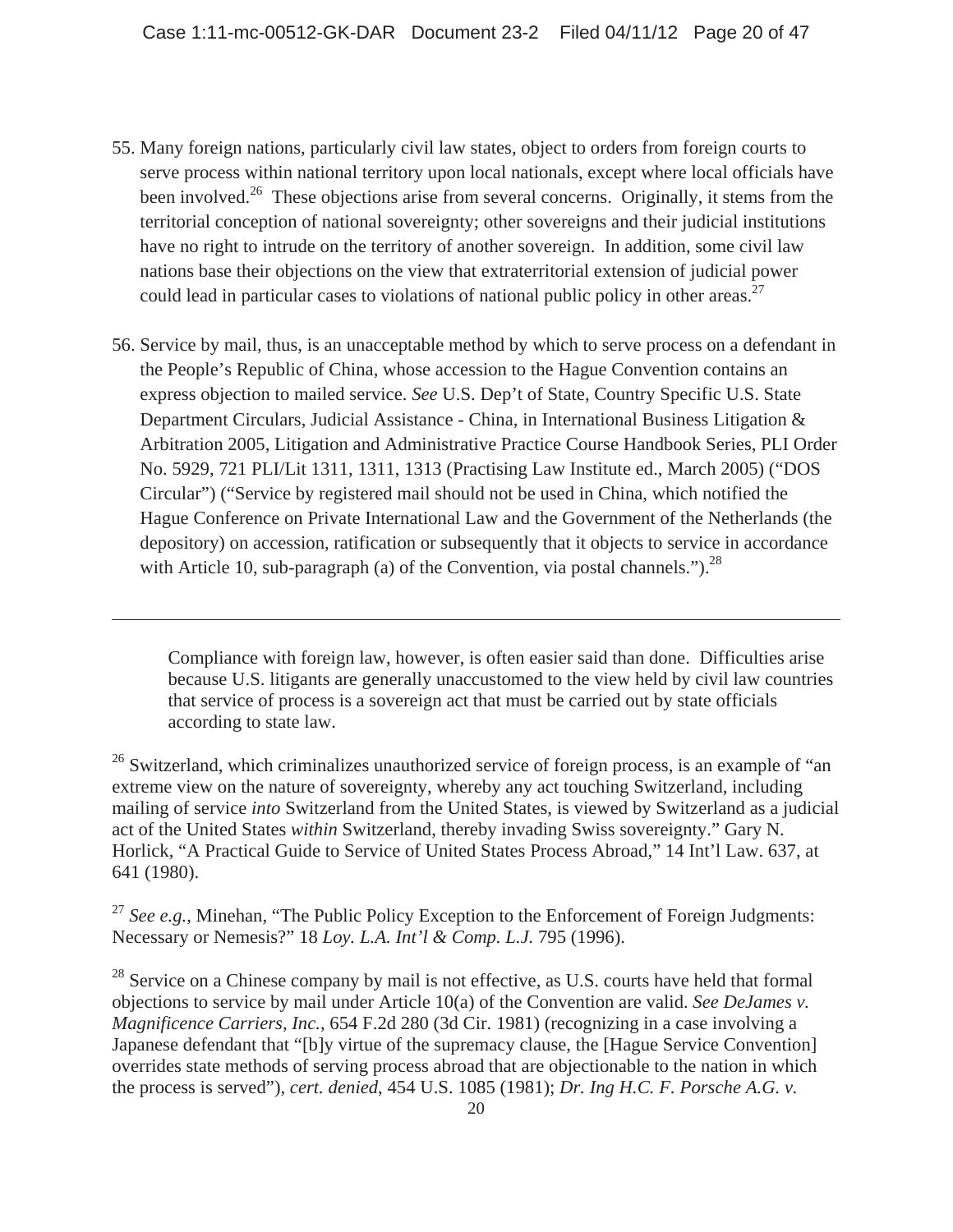- 55. Many foreign nations, particularly civil law states, object to orders from foreign courts to serve process within national territory upon local nationals, except where local officials have been involved.<sup>26</sup> These objections arise from several concerns. Originally, it stems from the territorial conception of national sovereignty; other sovereigns and their judicial institutions have no right to intrude on the territory of another sovereign. In addition, some civil law nations base their objections on the view that extraterritorial extension of judicial power could lead in particular cases to violations of national public policy in other areas.<sup>27</sup>
- 56. Service by mail, thus, is an unacceptable method by which to serve process on a defendant in the People's Republic of China, whose accession to the Hague Convention contains an express objection to mailed service. *See* U.S. Dep't of State, Country Specific U.S. State Department Circulars, Judicial Assistance - China, in International Business Litigation & Arbitration 2005, Litigation and Administrative Practice Course Handbook Series, PLI Order No. 5929, 721 PLI/Lit 1311, 1311, 1313 (Practising Law Institute ed., March 2005) ("DOS Circular") ("Service by registered mail should not be used in China, which notified the Hague Conference on Private International Law and the Government of the Netherlands (the depository) on accession, ratification or subsequently that it objects to service in accordance with Article 10, sub-paragraph (a) of the Convention, via postal channels.").<sup>28</sup>

 $\overline{a}$ 

 Compliance with foreign law, however, is often easier said than done. Difficulties arise because U.S. litigants are generally unaccustomed to the view held by civil law countries that service of process is a sovereign act that must be carried out by state officials according to state law.

 $26$  Switzerland, which criminalizes unauthorized service of foreign process, is an example of "an extreme view on the nature of sovereignty, whereby any act touching Switzerland, including mailing of service *into* Switzerland from the United States, is viewed by Switzerland as a judicial act of the United States *within* Switzerland, thereby invading Swiss sovereignty." Gary N. Horlick, "A Practical Guide to Service of United States Process Abroad," 14 Int'l Law. 637, at 641 (1980).

<sup>27</sup> See e.g., Minehan, "The Public Policy Exception to the Enforcement of Foreign Judgments: Necessary or Nemesis?" 18 *Loy. L.A. Int'l & Comp. L.J.* 795 (1996).

 $^{28}$  Service on a Chinese company by mail is not effective, as U.S. courts have held that formal objections to service by mail under Article 10(a) of the Convention are valid. *See DeJames v. Magnificence Carriers, Inc.*, 654 F.2d 280 (3d Cir. 1981) (recognizing in a case involving a Japanese defendant that "[b]y virtue of the supremacy clause, the [Hague Service Convention] overrides state methods of serving process abroad that are objectionable to the nation in which the process is served"), *cert. denied*, 454 U.S. 1085 (1981); *Dr. Ing H.C. F. Porsche A.G. v.*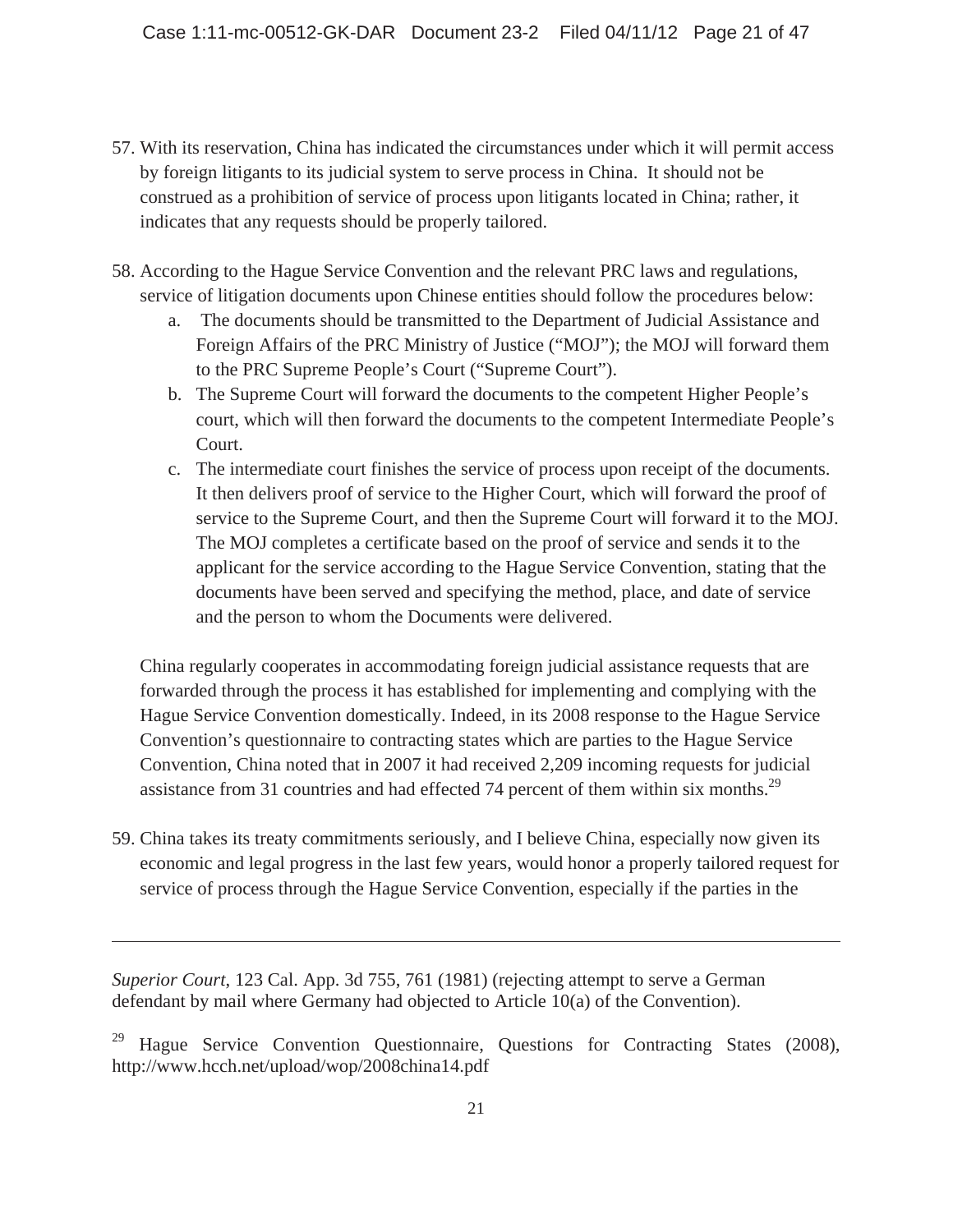- 57. With its reservation, China has indicated the circumstances under which it will permit access by foreign litigants to its judicial system to serve process in China. It should not be construed as a prohibition of service of process upon litigants located in China; rather, it indicates that any requests should be properly tailored.
- 58. According to the Hague Service Convention and the relevant PRC laws and regulations, service of litigation documents upon Chinese entities should follow the procedures below:
	- a. The documents should be transmitted to the Department of Judicial Assistance and Foreign Affairs of the PRC Ministry of Justice ("MOJ"); the MOJ will forward them to the PRC Supreme People's Court ("Supreme Court").
	- b. The Supreme Court will forward the documents to the competent Higher People's court, which will then forward the documents to the competent Intermediate People's Court.
	- c. The intermediate court finishes the service of process upon receipt of the documents. It then delivers proof of service to the Higher Court, which will forward the proof of service to the Supreme Court, and then the Supreme Court will forward it to the MOJ. The MOJ completes a certificate based on the proof of service and sends it to the applicant for the service according to the Hague Service Convention, stating that the documents have been served and specifying the method, place, and date of service and the person to whom the Documents were delivered.

China regularly cooperates in accommodating foreign judicial assistance requests that are forwarded through the process it has established for implementing and complying with the Hague Service Convention domestically. Indeed, in its 2008 response to the Hague Service Convention's questionnaire to contracting states which are parties to the Hague Service Convention, China noted that in 2007 it had received 2,209 incoming requests for judicial assistance from 31 countries and had effected 74 percent of them within six months.<sup>29</sup>

59. China takes its treaty commitments seriously, and I believe China, especially now given its economic and legal progress in the last few years, would honor a properly tailored request for service of process through the Hague Service Convention, especially if the parties in the

*Superior Court*, 123 Cal. App. 3d 755, 761 (1981) (rejecting attempt to serve a German defendant by mail where Germany had objected to Article 10(a) of the Convention).

Hague Service Convention Questionnaire, Questions for Contracting States (2008), http://www.hcch.net/upload/wop/2008china14.pdf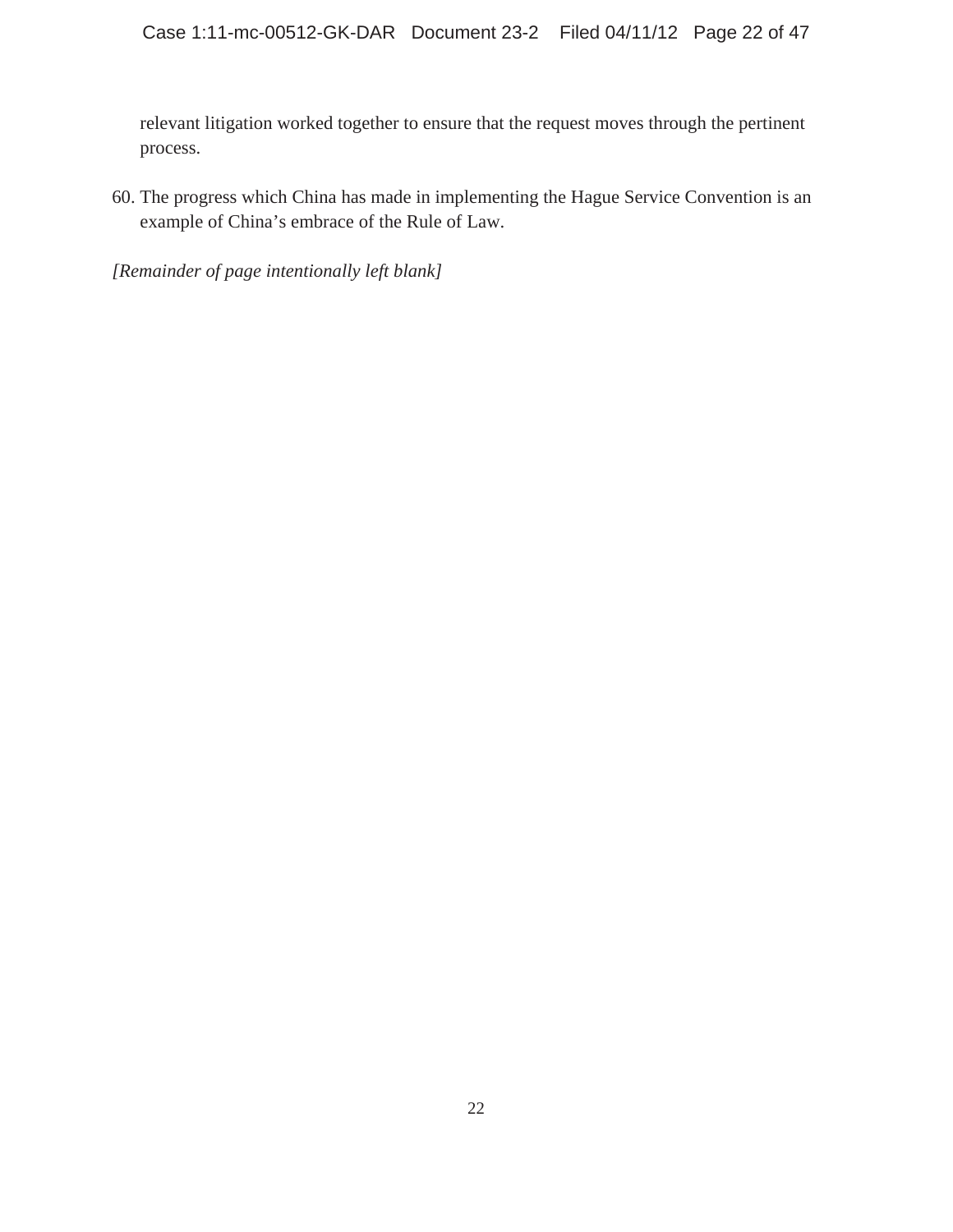relevant litigation worked together to ensure that the request moves through the pertinent process.

60. The progress which China has made in implementing the Hague Service Convention is an example of China's embrace of the Rule of Law.

*[Remainder of page intentionally left blank]*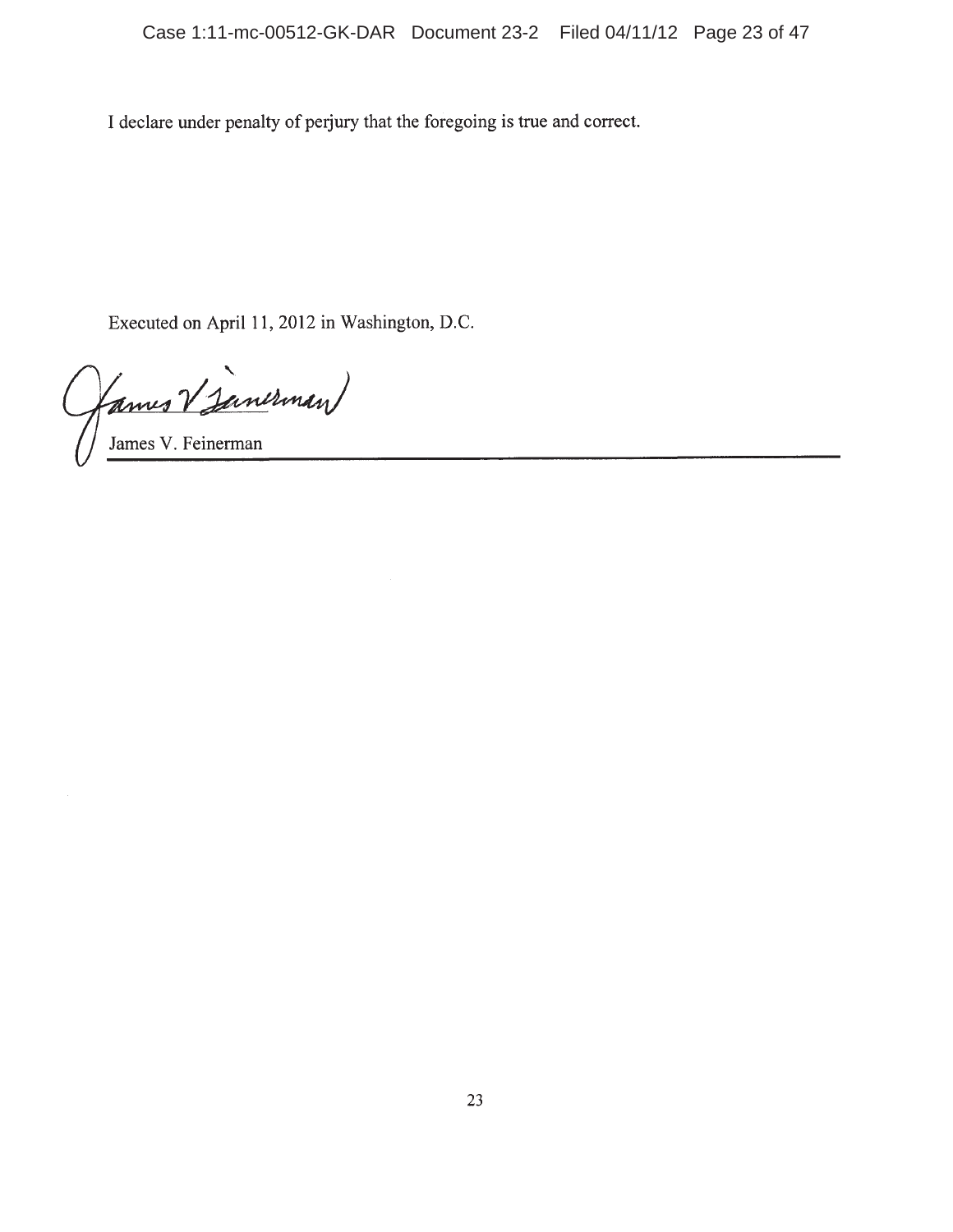I declare under penalty of perjury that the foregoing is true and correct.

Executed on April 11, 2012 in Washington, D.C.

(ames V Janerman)

James V. Feinerman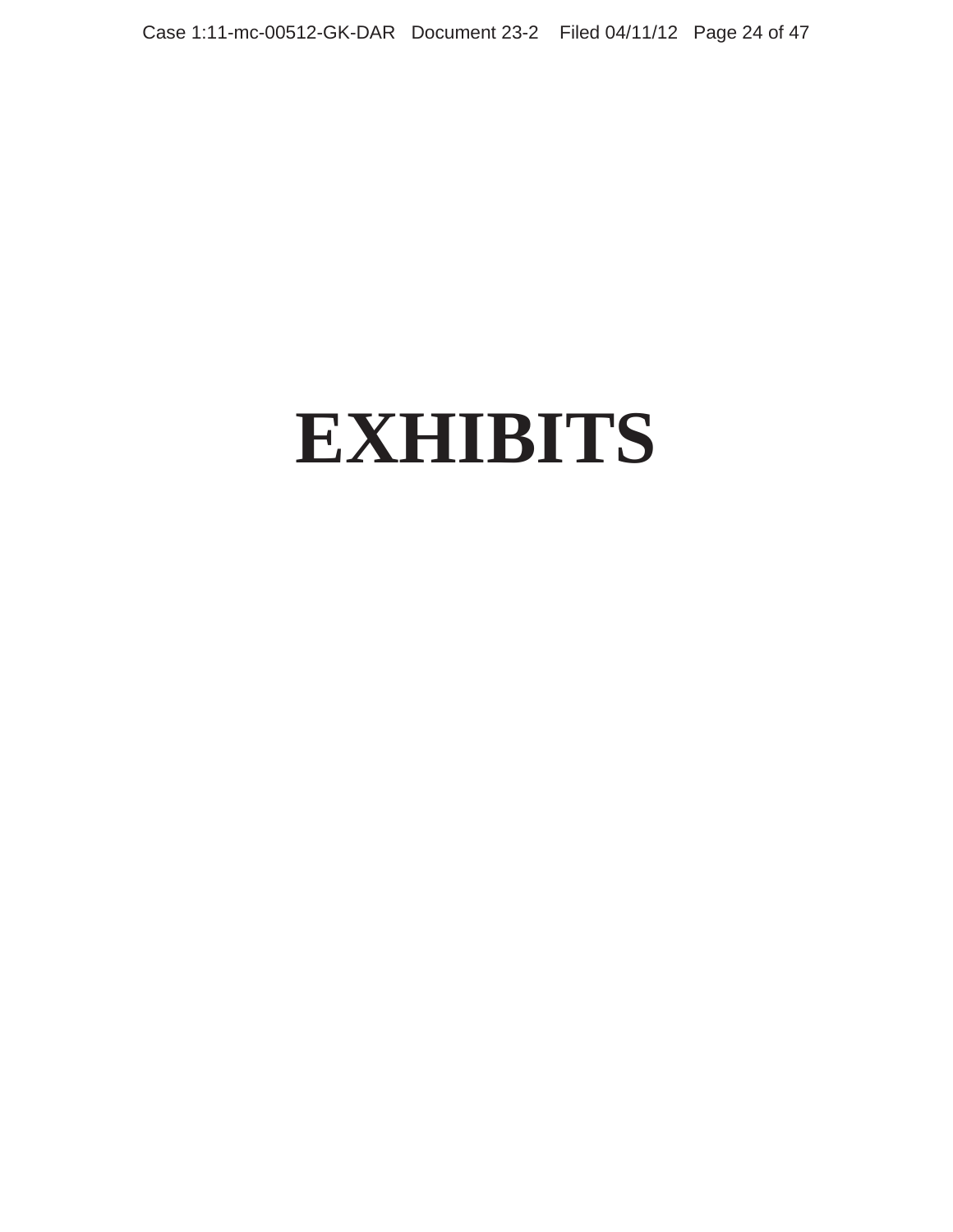Case 1:11-mc-00512-GK-DAR Document 23-2 Filed 04/11/12 Page 24 of 47

# **EXHIBITS**